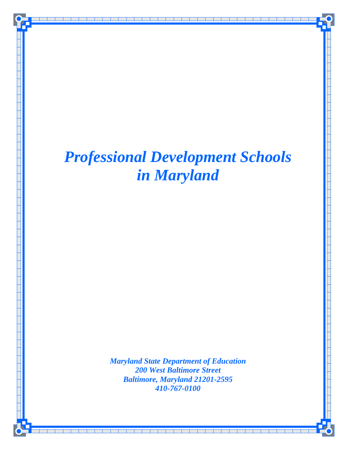

*Maryland State Department of Education 200 West Baltimore Street Baltimore, Maryland 21201-2595 410-767-0100*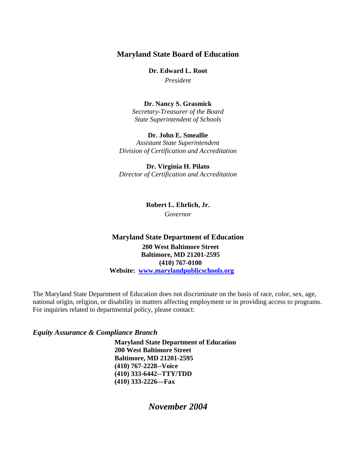## **Maryland State Board of Education**

**Dr. Edward L. Root** 

*President* 

**Dr. Nancy S. Grasmick**  *Secretary-Treasurer of the Board State Superintendent of Schools* 

**Dr. John E. Smeallie**  *Assistant State Superintendent Division of Certification and Accreditation* 

**Dr. Virginia H. Pilato**  *Director of Certification and Accreditation* 

**Robert L. Ehrlich, Jr.** 

*Governor* 

## **Maryland State Department of Education 200 West Baltimore Street Baltimore, MD 21201-2595 (410) 767-0100 Website: www.marylandpublicschools.org**

The Maryland State Department of Education does not discriminate on the basis of race, color, sex, age, national origin, religion, or disability in matters affecting employment or in providing access to programs. For inquiries related to departmental policy, please contact:

## *Equity Assurance & Compliance Branch*

**Maryland State Department of Education 200 West Baltimore Street Baltimore, MD 21201-2595 (410) 767-2228--Voice (410) 333-6442--TTY/TDD (410) 333-2226—Fax** 

*November 2004*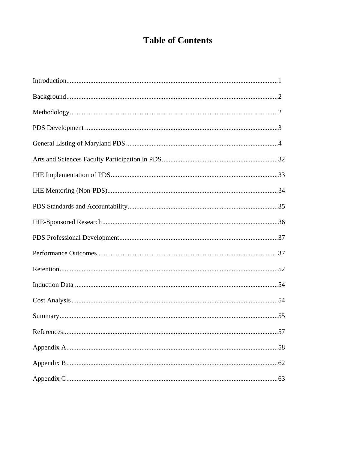# **Table of Contents**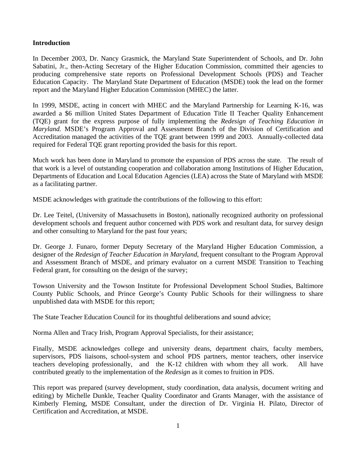## **Introduction**

In December 2003, Dr. Nancy Grasmick, the Maryland State Superintendent of Schools, and Dr. John Sabatini, Jr., then-Acting Secretary of the Higher Education Commission, committed their agencies to producing comprehensive state reports on Professional Development Schools (PDS) and Teacher Education Capacity. The Maryland State Department of Education (MSDE) took the lead on the former report and the Maryland Higher Education Commission (MHEC) the latter.

In 1999, MSDE, acting in concert with MHEC and the Maryland Partnership for Learning K-16, was awarded a \$6 million United States Department of Education Title II Teacher Quality Enhancement (TQE) grant for the express purpose of fully implementing the *Redesign of Teaching Education in Maryland.* MSDE's Program Approval and Assessment Branch of the Division of Certification and Accreditation managed the activities of the TQE grant between 1999 and 2003. Annually-collected data required for Federal TQE grant reporting provided the basis for this report.

Much work has been done in Maryland to promote the expansion of PDS across the state. The result of that work is a level of outstanding cooperation and collaboration among Institutions of Higher Education, Departments of Education and Local Education Agencies (LEA) across the State of Maryland with MSDE as a facilitating partner.

MSDE acknowledges with gratitude the contributions of the following to this effort:

Dr. Lee Teitel, (University of Massachusetts in Boston), nationally recognized authority on professional development schools and frequent author concerned with PDS work and resultant data, for survey design and other consulting to Maryland for the past four years;

Dr. George J. Funaro, former Deputy Secretary of the Maryland Higher Education Commission, a designer of the *Redesign of Teacher Education in Maryland*, frequent consultant to the Program Approval and Assessment Branch of MSDE, and primary evaluator on a current MSDE Transition to Teaching Federal grant, for consulting on the design of the survey;

Towson University and the Towson Institute for Professional Development School Studies, Baltimore County Public Schools, and Prince George's County Public Schools for their willingness to share unpublished data with MSDE for this report;

The State Teacher Education Council for its thoughtful deliberations and sound advice;

Norma Allen and Tracy Irish, Program Approval Specialists, for their assistance;

Finally, MSDE acknowledges college and university deans, department chairs, faculty members, supervisors, PDS liaisons, school-system and school PDS partners, mentor teachers, other inservice teachers developing professionally, and the K-12 children with whom they all work. All have contributed greatly to the implementation of the *Redesign* as it comes to fruition in PDS.

This report was prepared (survey development, study coordination, data analysis, document writing and editing) by Michelle Dunkle, Teacher Quality Coordinator and Grants Manager, with the assistance of Kimberly Fleming, MSDE Consultant, under the direction of Dr. Virginia H. Pilato, Director of Certification and Accreditation, at MSDE.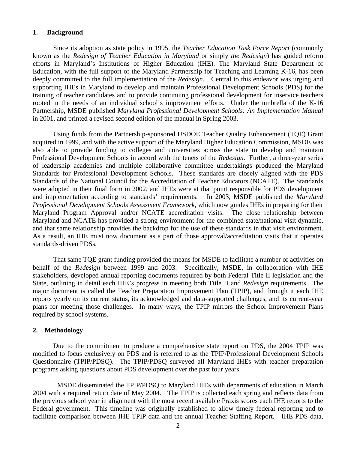### **1. Background**

Since its adoption as state policy in 1995, the *Teacher Education Task Force Report* (commonly known as the *Redesign of Teacher Education in Maryland* or simply *the Redesign*) has guided reform efforts in Maryland's Institutions of Higher Education (IHE). The Maryland State Department of Education, with the full support of the Maryland Partnership for Teaching and Learning K-16, has been deeply committed to the full implementation of the *Redesign*. Central to this endeavor was urging and supporting IHEs in Maryland to develop and maintain Professional Development Schools (PDS) for the training of teacher candidates and to provide continuing professional development for inservice teachers rooted in the needs of an individual school's improvement efforts. Under the umbrella of the K-16 Partnership, MSDE published *Maryland Professional Development Schools: An Implementation Manual* in 2001, and printed a revised second edition of the manual in Spring 2003.

Using funds from the Partnership-sponsored USDOE Teacher Quality Enhancement (TQE) Grant acquired in 1999, and with the active support of the Maryland Higher Education Commission, MSDE was also able to provide funding to colleges and universities across the state to develop and maintain Professional Development Schools in accord with the tenets of the *Redesign.* Further, a three-year series of leadership academies and multiple collaborative committee undertakings produced the Maryland Standards for Professional Development Schools. These standards are closely aligned with the PDS Standards of the National Council for the Accreditation of Teacher Educators (NCATE). The Standards were adopted in their final form in 2002, and IHEs were at that point responsible for PDS development and implementation according to standards' requirements. In 2003, MSDE published the *Maryland Professional Development Schools Assessment Framework*, which now guides IHEs in preparing for their Maryland Program Approval and/or NCATE accreditation visits. The close relationship between Maryland and NCATE has provided a strong environment for the combined state/national visit dynamic, and that same relationship provides the backdrop for the use of these standards in that visit environment. As a result, an IHE must now document as a part of those approval/accreditation visits that it operates standards-driven PDSs.

That same TQE grant funding provided the means for MSDE to facilitate a number of activities on behalf of the *Redesign* between 1999 and 2003. Specifically, MSDE, in collaboration with IHE stakeholders, developed annual reporting documents required by both Federal Title II legislation and the State, outlining in detail each IHE's progress in meeting both Title II and *Redesign* requirements. The major document is called the Teacher Preparation Improvement Plan (TPIP), and through it each IHE reports yearly on its current status, its acknowledged and data-supported challenges, and its current-year plans for meeting those challenges. In many ways, the TPIP mirrors the School Improvement Plans required by school systems.

#### **2. Methodology**

Due to the commitment to produce a comprehensive state report on PDS, the 2004 TPIP was modified to focus exclusively on PDS and is referred to as the TPIP/Professional Development Schools Questionnaire (TPIP/PDSQ). The TPIP/PDSQ surveyed all Maryland IHEs with teacher preparation programs asking questions about PDS development over the past four years.

 MSDE disseminated the TPIP/PDSQ to Maryland IHEs with departments of education in March 2004 with a required return date of May 2004. The TPIP is collected each spring and reflects data from the previous school year in alignment with the most recent available Praxis scores each IHE reports to the Federal government. This timeline was originally established to allow timely federal reporting and to facilitate comparison between IHE TPIP data and the annual Teacher Staffing Report. IHE PDS data,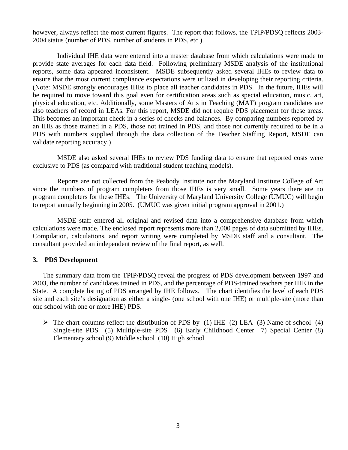however, always reflect the most current figures. The report that follows, the TPIP/PDSQ reflects 2003- 2004 status (number of PDS, number of students in PDS, etc.).

 Individual IHE data were entered into a master database from which calculations were made to provide state averages for each data field. Following preliminary MSDE analysis of the institutional reports, some data appeared inconsistent. MSDE subsequently asked several IHEs to review data to ensure that the most current compliance expectations were utilized in developing their reporting criteria. (Note: MSDE strongly encourages IHEs to place all teacher candidates in PDS. In the future, IHEs will be required to move toward this goal even for certification areas such as special education, music, art, physical education, etc. Additionally, some Masters of Arts in Teaching (MAT) program candidates are also teachers of record in LEAs. For this report, MSDE did not require PDS placement for these areas. This becomes an important check in a series of checks and balances. By comparing numbers reported by an IHE as those trained in a PDS, those not trained in PDS, and those not currently required to be in a PDS with numbers supplied through the data collection of the Teacher Staffing Report, MSDE can validate reporting accuracy.)

 MSDE also asked several IHEs to review PDS funding data to ensure that reported costs were exclusive to PDS (as compared with traditional student teaching models).

 Reports are not collected from the Peabody Institute nor the Maryland Institute College of Art since the numbers of program completers from those IHEs is very small. Some years there are no program completers for these IHEs. The University of Maryland University College (UMUC) will begin to report annually beginning in 2005. (UMUC was given initial program approval in 2001.)

 MSDE staff entered all original and revised data into a comprehensive database from which calculations were made. The enclosed report represents more than 2,000 pages of data submitted by IHEs. Compilation, calculations, and report writing were completed by MSDE staff and a consultant. The consultant provided an independent review of the final report, as well.

### **3. PDS Development**

The summary data from the TPIP/PDSQ reveal the progress of PDS development between 1997 and 2003, the number of candidates trained in PDS, and the percentage of PDS-trained teachers per IHE in the State. A complete listing of PDS arranged by IHE follows. The chart identifies the level of each PDS site and each site's designation as either a single- (one school with one IHE) or multiple-site (more than one school with one or more IHE) PDS.

 $\triangleright$  The chart columns reflect the distribution of PDS by (1) IHE (2) LEA (3) Name of school (4) Single-site PDS (5) Multiple-site PDS (6) Early Childhood Center 7) Special Center (8) Elementary school (9) Middle school (10) High school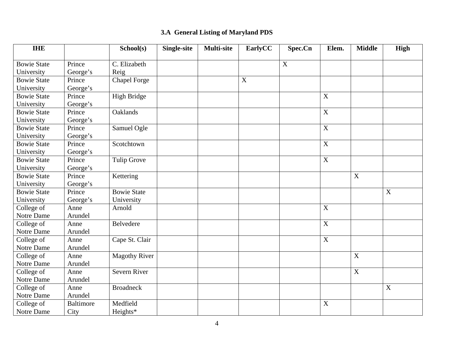# **3.A General Listing of Maryland PDS**

| <b>IHE</b>         |                  | School(s)            | <b>Single-site</b> | <b>Multi-site</b> | EarlyCC     | Spec.Cn     | Elem.          | <b>Middle</b>    | <b>High</b>               |
|--------------------|------------------|----------------------|--------------------|-------------------|-------------|-------------|----------------|------------------|---------------------------|
| <b>Bowie State</b> | Prince           | C. Elizabeth         |                    |                   |             | $\mathbf X$ |                |                  |                           |
|                    |                  |                      |                    |                   |             |             |                |                  |                           |
| University         | George's         | Reig                 |                    |                   |             |             |                |                  |                           |
| <b>Bowie State</b> | Prince           | <b>Chapel Forge</b>  |                    |                   | $\mathbf X$ |             |                |                  |                           |
| University         | George's         |                      |                    |                   |             |             |                |                  |                           |
| <b>Bowie State</b> | Prince           | <b>High Bridge</b>   |                    |                   |             |             | $\mathbf X$    |                  |                           |
| University         | George's         |                      |                    |                   |             |             |                |                  |                           |
| <b>Bowie State</b> | Prince           | Oaklands             |                    |                   |             |             | $\overline{X}$ |                  |                           |
| University         | George's         |                      |                    |                   |             |             |                |                  |                           |
| <b>Bowie State</b> | Prince           | Samuel Ogle          |                    |                   |             |             | $\mathbf X$    |                  |                           |
| University         | George's         |                      |                    |                   |             |             |                |                  |                           |
| <b>Bowie State</b> | Prince           | Scotchtown           |                    |                   |             |             | $\mathbf X$    |                  |                           |
| University         | George's         |                      |                    |                   |             |             |                |                  |                           |
| <b>Bowie State</b> | Prince           | <b>Tulip Grove</b>   |                    |                   |             |             | $\mathbf X$    |                  |                           |
| University         | George's         |                      |                    |                   |             |             |                |                  |                           |
| <b>Bowie State</b> | Prince           | Kettering            |                    |                   |             |             |                | $\boldsymbol{X}$ |                           |
| University         | George's         |                      |                    |                   |             |             |                |                  |                           |
| <b>Bowie State</b> | Prince           | <b>Bowie State</b>   |                    |                   |             |             |                |                  | $\boldsymbol{\mathrm{X}}$ |
| University         | George's         | University           |                    |                   |             |             |                |                  |                           |
| College of         | Anne             | Arnold               |                    |                   |             |             | $\overline{X}$ |                  |                           |
| Notre Dame         | Arundel          |                      |                    |                   |             |             |                |                  |                           |
| College of         | Anne             | Belvedere            |                    |                   |             |             | $\mathbf X$    |                  |                           |
| Notre Dame         | Arundel          |                      |                    |                   |             |             |                |                  |                           |
| College of         | Anne             | Cape St. Clair       |                    |                   |             |             | $\mathbf X$    |                  |                           |
| Notre Dame         | Arundel          |                      |                    |                   |             |             |                |                  |                           |
| College of         | Anne             | <b>Magothy River</b> |                    |                   |             |             |                | $\mathbf X$      |                           |
| Notre Dame         | Arundel          |                      |                    |                   |             |             |                |                  |                           |
| College of         | Anne             | Severn River         |                    |                   |             |             |                | $\boldsymbol{X}$ |                           |
| Notre Dame         | Arundel          |                      |                    |                   |             |             |                |                  |                           |
| College of         | Anne             | <b>Broadneck</b>     |                    |                   |             |             |                |                  | $\boldsymbol{\mathrm{X}}$ |
| Notre Dame         | Arundel          |                      |                    |                   |             |             |                |                  |                           |
| College of         | <b>Baltimore</b> | Medfield             |                    |                   |             |             | $\mathbf X$    |                  |                           |
| Notre Dame         | City             | Heights*             |                    |                   |             |             |                |                  |                           |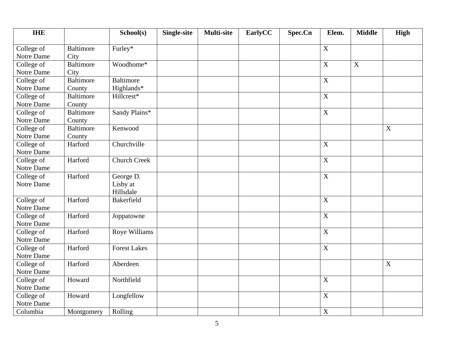| <b>IHE</b> |                  | School(s)           | <b>Single-site</b> | <b>Multi-site</b> | EarlyCC | Spec.Cn | Elem.            | <b>Middle</b> | <b>High</b>               |
|------------|------------------|---------------------|--------------------|-------------------|---------|---------|------------------|---------------|---------------------------|
| College of | <b>Baltimore</b> | Furley*             |                    |                   |         |         | $\mathbf X$      |               |                           |
| Notre Dame | City             |                     |                    |                   |         |         |                  |               |                           |
| College of | <b>Baltimore</b> | Woodhome*           |                    |                   |         |         | $\mathbf X$      | $\mathbf X$   |                           |
| Notre Dame | City             |                     |                    |                   |         |         |                  |               |                           |
| College of | <b>Baltimore</b> | Baltimore           |                    |                   |         |         | $\mathbf X$      |               |                           |
| Notre Dame | County           | Highlands*          |                    |                   |         |         |                  |               |                           |
| College of | <b>Baltimore</b> | Hillcrest*          |                    |                   |         |         | $\mathbf X$      |               |                           |
| Notre Dame | County           |                     |                    |                   |         |         |                  |               |                           |
| College of | <b>Baltimore</b> | Sandy Plains*       |                    |                   |         |         | $\mathbf X$      |               |                           |
| Notre Dame | County           |                     |                    |                   |         |         |                  |               |                           |
| College of | <b>Baltimore</b> | Kenwood             |                    |                   |         |         |                  |               | X                         |
| Notre Dame | County           |                     |                    |                   |         |         |                  |               |                           |
| College of | Harford          | Churchville         |                    |                   |         |         | $\boldsymbol{X}$ |               |                           |
| Notre Dame |                  |                     |                    |                   |         |         |                  |               |                           |
| College of | Harford          | <b>Church Creek</b> |                    |                   |         |         | $\mathbf X$      |               |                           |
| Notre Dame |                  |                     |                    |                   |         |         |                  |               |                           |
| College of | Harford          | George D.           |                    |                   |         |         | $\mathbf X$      |               |                           |
| Notre Dame |                  | Lisby at            |                    |                   |         |         |                  |               |                           |
|            |                  | Hillsdale           |                    |                   |         |         |                  |               |                           |
| College of | Harford          | <b>Bakerfield</b>   |                    |                   |         |         | $\mathbf X$      |               |                           |
| Notre Dame |                  |                     |                    |                   |         |         |                  |               |                           |
| College of | Harford          | Joppatowne          |                    |                   |         |         | $\overline{X}$   |               |                           |
| Notre Dame |                  |                     |                    |                   |         |         |                  |               |                           |
| College of | Harford          | Roye Williams       |                    |                   |         |         | $\mathbf X$      |               |                           |
| Notre Dame |                  |                     |                    |                   |         |         |                  |               |                           |
| College of | Harford          | <b>Forest Lakes</b> |                    |                   |         |         | $\mathbf X$      |               |                           |
| Notre Dame |                  |                     |                    |                   |         |         |                  |               |                           |
| College of | Harford          | Aberdeen            |                    |                   |         |         |                  |               | $\boldsymbol{\mathrm{X}}$ |
| Notre Dame |                  |                     |                    |                   |         |         |                  |               |                           |
| College of | Howard           | Northfield          |                    |                   |         |         | $\mathbf X$      |               |                           |
| Notre Dame |                  |                     |                    |                   |         |         |                  |               |                           |
| College of | Howard           | Longfellow          |                    |                   |         |         | $\overline{X}$   |               |                           |
| Notre Dame |                  |                     |                    |                   |         |         |                  |               |                           |
| Columbia   | Montgomery       | Rolling             |                    |                   |         |         | $\mathbf X$      |               |                           |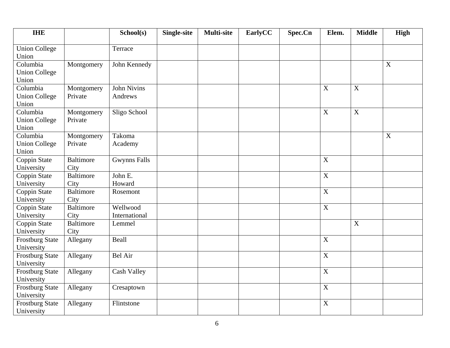| <b>IHE</b>                                |                          | School(s)                     | <b>Single-site</b> | <b>Multi-site</b> | EarlyCC | Spec.Cn | Elem.                     | <b>Middle</b>    | <b>High</b>               |
|-------------------------------------------|--------------------------|-------------------------------|--------------------|-------------------|---------|---------|---------------------------|------------------|---------------------------|
| <b>Union College</b><br>Union             |                          | Terrace                       |                    |                   |         |         |                           |                  |                           |
| Columbia<br><b>Union College</b><br>Union | Montgomery               | John Kennedy                  |                    |                   |         |         |                           |                  | X                         |
| Columbia<br><b>Union College</b><br>Union | Montgomery<br>Private    | <b>John Nivins</b><br>Andrews |                    |                   |         |         | $\mathbf X$               | $\mathbf X$      |                           |
| Columbia<br><b>Union College</b><br>Union | Montgomery<br>Private    | Sligo School                  |                    |                   |         |         | $\boldsymbol{\mathrm{X}}$ | $\boldsymbol{X}$ |                           |
| Columbia<br><b>Union College</b><br>Union | Montgomery<br>Private    | Takoma<br>Academy             |                    |                   |         |         |                           |                  | $\boldsymbol{\mathrm{X}}$ |
| Coppin State<br>University                | <b>Baltimore</b><br>City | <b>Gwynns Falls</b>           |                    |                   |         |         | X                         |                  |                           |
| Coppin State<br>University                | <b>Baltimore</b><br>City | John E.<br>Howard             |                    |                   |         |         | $\mathbf X$               |                  |                           |
| Coppin State<br>University                | <b>Baltimore</b><br>City | Rosemont                      |                    |                   |         |         | $\mathbf X$               |                  |                           |
| Coppin State<br>University                | Baltimore<br>City        | Wellwood<br>International     |                    |                   |         |         | $\mathbf X$               |                  |                           |
| Coppin State<br>University                | <b>Baltimore</b><br>City | Lemmel                        |                    |                   |         |         |                           | X                |                           |
| <b>Frostburg State</b><br>University      | Allegany                 | Beall                         |                    |                   |         |         | $\mathbf X$               |                  |                           |
| <b>Frostburg State</b><br>University      | Allegany                 | <b>Bel Air</b>                |                    |                   |         |         | $\mathbf X$               |                  |                           |
| Frostburg State<br>University             | Allegany                 | Cash Valley                   |                    |                   |         |         | $\mathbf X$               |                  |                           |
| <b>Frostburg State</b><br>University      | Allegany                 | Cresaptown                    |                    |                   |         |         | $\mathbf X$               |                  |                           |
| <b>Frostburg State</b><br>University      | Allegany                 | Flintstone                    |                    |                   |         |         | $\mathbf X$               |                  |                           |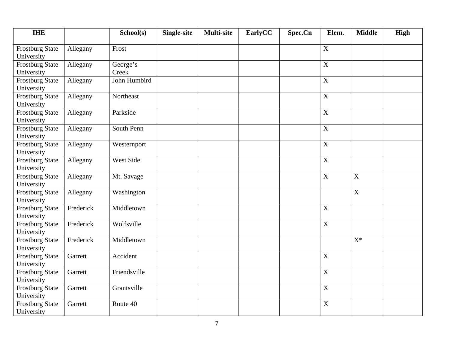| <b>IHE</b>                           |           | School(s)         | <b>Single-site</b> | <b>Multi-site</b> | EarlyCC | Spec.Cn | Elem.          | <b>Middle</b>  | <b>High</b> |
|--------------------------------------|-----------|-------------------|--------------------|-------------------|---------|---------|----------------|----------------|-------------|
| Frostburg State<br>University        | Allegany  | Frost             |                    |                   |         |         | $\mathbf X$    |                |             |
| <b>Frostburg State</b><br>University | Allegany  | George's<br>Creek |                    |                   |         |         | $\mathbf X$    |                |             |
| <b>Frostburg State</b><br>University | Allegany  | John Humbird      |                    |                   |         |         | $\mathbf X$    |                |             |
| <b>Frostburg State</b><br>University | Allegany  | Northeast         |                    |                   |         |         | $\mathbf X$    |                |             |
| <b>Frostburg State</b><br>University | Allegany  | Parkside          |                    |                   |         |         | $\overline{X}$ |                |             |
| <b>Frostburg State</b><br>University | Allegany  | South Penn        |                    |                   |         |         | $\mathbf X$    |                |             |
| <b>Frostburg State</b><br>University | Allegany  | Westernport       |                    |                   |         |         | $\mathbf X$    |                |             |
| <b>Frostburg State</b><br>University | Allegany  | <b>West Side</b>  |                    |                   |         |         | $\mathbf X$    |                |             |
| Frostburg State<br>University        | Allegany  | Mt. Savage        |                    |                   |         |         | $\mathbf X$    | X              |             |
| Frostburg State<br>University        | Allegany  | Washington        |                    |                   |         |         |                | $\overline{X}$ |             |
| <b>Frostburg State</b><br>University | Frederick | Middletown        |                    |                   |         |         | $\mathbf X$    |                |             |
| <b>Frostburg State</b><br>University | Frederick | Wolfsville        |                    |                   |         |         | $\mathbf X$    |                |             |
| <b>Frostburg State</b><br>University | Frederick | Middletown        |                    |                   |         |         |                | $X^*$          |             |
| <b>Frostburg State</b><br>University | Garrett   | Accident          |                    |                   |         |         | $\mathbf X$    |                |             |
| <b>Frostburg State</b><br>University | Garrett   | Friendsville      |                    |                   |         |         | X              |                |             |
| Frostburg State<br>University        | Garrett   | Grantsville       |                    |                   |         |         | $\mathbf X$    |                |             |
| <b>Frostburg State</b><br>University | Garrett   | Route 40          |                    |                   |         |         | $\mathbf X$    |                |             |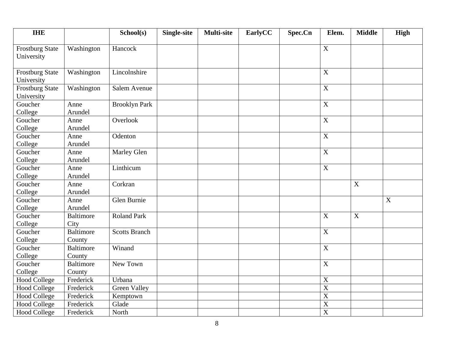| <b>IHE</b>                           |                            | School(s)            | <b>Single-site</b> | <b>Multi-site</b> | EarlyCC | Spec.Cn | Elem.                     | <b>Middle</b> | High        |
|--------------------------------------|----------------------------|----------------------|--------------------|-------------------|---------|---------|---------------------------|---------------|-------------|
| Frostburg State<br>University        | Washington                 | Hancock              |                    |                   |         |         | $\mathbf X$               |               |             |
| <b>Frostburg State</b><br>University | Washington                 | Lincolnshire         |                    |                   |         |         | X                         |               |             |
| <b>Frostburg State</b><br>University | Washington                 | Salem Avenue         |                    |                   |         |         | X                         |               |             |
| Goucher<br>College                   | Anne<br>Arundel            | <b>Brooklyn Park</b> |                    |                   |         |         | $\boldsymbol{X}$          |               |             |
| Goucher<br>College                   | Anne<br>Arundel            | Overlook             |                    |                   |         |         | $\overline{X}$            |               |             |
| Goucher<br>College                   | Anne<br>Arundel            | Odenton              |                    |                   |         |         | $\overline{X}$            |               |             |
| Goucher<br>College                   | Anne<br>Arundel            | Marley Glen          |                    |                   |         |         | $\mathbf X$               |               |             |
| Goucher<br>College                   | Anne<br>Arundel            | Linthicum            |                    |                   |         |         | $\mathbf X$               |               |             |
| Goucher<br>College                   | Anne<br>Arundel            | Corkran              |                    |                   |         |         |                           | $\mathbf X$   |             |
| Goucher<br>College                   | Anne<br>Arundel            | Glen Burnie          |                    |                   |         |         |                           |               | $\mathbf X$ |
| Goucher<br>College                   | <b>Baltimore</b><br>City   | <b>Roland Park</b>   |                    |                   |         |         | $\overline{X}$            | $\mathbf X$   |             |
| Goucher<br>College                   | <b>Baltimore</b><br>County | <b>Scotts Branch</b> |                    |                   |         |         | $\boldsymbol{X}$          |               |             |
| Goucher<br>College                   | <b>Baltimore</b><br>County | Winand               |                    |                   |         |         | $\boldsymbol{X}$          |               |             |
| Goucher<br>College                   | <b>Baltimore</b><br>County | New Town             |                    |                   |         |         | $\overline{X}$            |               |             |
| <b>Hood College</b>                  | Frederick                  | Urbana               |                    |                   |         |         | $\boldsymbol{\mathrm{X}}$ |               |             |
| <b>Hood College</b>                  | Frederick                  | <b>Green Valley</b>  |                    |                   |         |         | $\overline{X}$            |               |             |
| <b>Hood College</b>                  | Frederick                  | Kemptown             |                    |                   |         |         | $\overline{X}$            |               |             |
| <b>Hood College</b>                  | Frederick                  | Glade                |                    |                   |         |         | $\overline{X}$            |               |             |
| <b>Hood College</b>                  | Frederick                  | North                |                    |                   |         |         | $\overline{X}$            |               |             |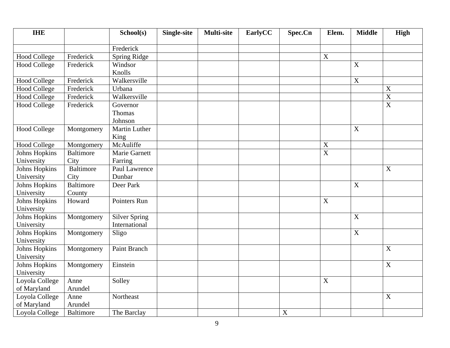| <b>IHE</b>                                |                          | School(s)                             | <b>Single-site</b> | Multi-site | EarlyCC | Spec.Cn | Elem.                     | <b>Middle</b>    | High                      |
|-------------------------------------------|--------------------------|---------------------------------------|--------------------|------------|---------|---------|---------------------------|------------------|---------------------------|
|                                           |                          | Frederick                             |                    |            |         |         |                           |                  |                           |
| <b>Hood College</b>                       | Frederick                | Spring Ridge                          |                    |            |         |         | $\mathbf X$               |                  |                           |
| <b>Hood College</b>                       | Frederick                | Windsor<br>Knolls                     |                    |            |         |         |                           | $\mathbf X$      |                           |
| <b>Hood College</b>                       | Frederick                | Walkersville                          |                    |            |         |         |                           | X                |                           |
| <b>Hood College</b>                       | Frederick                | Urbana                                |                    |            |         |         |                           |                  | $\boldsymbol{\mathrm{X}}$ |
| <b>Hood College</b>                       | Frederick                | Walkersville                          |                    |            |         |         |                           |                  | $\overline{X}$            |
| <b>Hood College</b>                       | Frederick                | Governor<br>Thomas<br>Johnson         |                    |            |         |         |                           |                  | $\mathbf X$               |
| <b>Hood College</b>                       | Montgomery               | <b>Martin Luther</b><br>King          |                    |            |         |         |                           | $\mathbf X$      |                           |
| <b>Hood College</b>                       | Montgomery               | McAuliffe                             |                    |            |         |         | $\mathbf X$               |                  |                           |
| Johns Hopkins                             | <b>Baltimore</b>         | Marie Garnett                         |                    |            |         |         | $\overline{X}$            |                  |                           |
| University                                | City                     | Farring                               |                    |            |         |         |                           |                  |                           |
| Johns Hopkins<br>University               | <b>Baltimore</b><br>City | Paul Lawrence<br>Dunbar               |                    |            |         |         |                           |                  | $\mathbf X$               |
| Johns Hopkins                             | <b>Baltimore</b>         | Deer Park                             |                    |            |         |         |                           | $\mathbf X$      |                           |
| University<br>Johns Hopkins<br>University | County<br>Howard         | Pointers Run                          |                    |            |         |         | $\boldsymbol{X}$          |                  |                           |
| Johns Hopkins<br>University               | Montgomery               | <b>Silver Spring</b><br>International |                    |            |         |         |                           | $\mathbf X$      |                           |
| Johns Hopkins<br>University               | Montgomery               | Sligo                                 |                    |            |         |         |                           | $\boldsymbol{X}$ |                           |
| Johns Hopkins<br>University               | Montgomery               | Paint Branch                          |                    |            |         |         |                           |                  | $\mathbf X$               |
| Johns Hopkins<br>University               | Montgomery               | Einstein                              |                    |            |         |         |                           |                  | X                         |
| Loyola College<br>of Maryland             | Anne<br>Arundel          | Solley                                |                    |            |         |         | $\boldsymbol{\mathrm{X}}$ |                  |                           |
| Loyola College<br>of Maryland             | Anne<br>Arundel          | Northeast                             |                    |            |         |         |                           |                  | $\boldsymbol{\mathrm{X}}$ |
| Loyola College                            | <b>Baltimore</b>         | The Barclay                           |                    |            |         | X       |                           |                  |                           |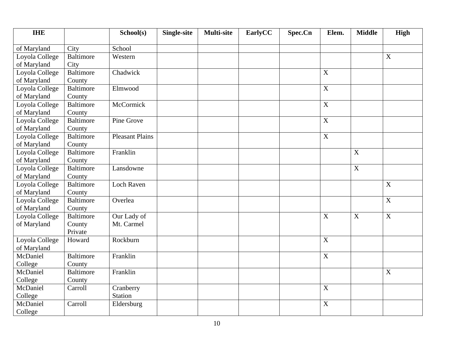| <b>IHE</b>     |                  | School(s)              | <b>Single-site</b> | <b>Multi-site</b> | EarlyCC | Spec.Cn | Elem.          | <b>Middle</b>           | High             |
|----------------|------------------|------------------------|--------------------|-------------------|---------|---------|----------------|-------------------------|------------------|
| of Maryland    | City             | School                 |                    |                   |         |         |                |                         |                  |
| Loyola College | <b>Baltimore</b> | Western                |                    |                   |         |         |                |                         | X                |
| of Maryland    | City             |                        |                    |                   |         |         |                |                         |                  |
| Loyola College | <b>Baltimore</b> | Chadwick               |                    |                   |         |         | $\mathbf X$    |                         |                  |
| of Maryland    | County           |                        |                    |                   |         |         |                |                         |                  |
| Loyola College | <b>Baltimore</b> | Elmwood                |                    |                   |         |         | $\mathbf X$    |                         |                  |
| of Maryland    | County           |                        |                    |                   |         |         |                |                         |                  |
| Loyola College | <b>Baltimore</b> | McCormick              |                    |                   |         |         | $\mathbf X$    |                         |                  |
| of Maryland    | County           |                        |                    |                   |         |         |                |                         |                  |
| Loyola College | <b>Baltimore</b> | Pine Grove             |                    |                   |         |         | $\mathbf X$    |                         |                  |
| of Maryland    | County           |                        |                    |                   |         |         |                |                         |                  |
| Loyola College | <b>Baltimore</b> | <b>Pleasant Plains</b> |                    |                   |         |         | $\mathbf X$    |                         |                  |
| of Maryland    | County           |                        |                    |                   |         |         |                |                         |                  |
| Loyola College | <b>Baltimore</b> | Franklin               |                    |                   |         |         |                | $\mathbf X$             |                  |
| of Maryland    | County           |                        |                    |                   |         |         |                |                         |                  |
| Loyola College | <b>Baltimore</b> | Lansdowne              |                    |                   |         |         |                | $\overline{X}$          |                  |
| of Maryland    | County           |                        |                    |                   |         |         |                |                         |                  |
| Loyola College | <b>Baltimore</b> | <b>Loch Raven</b>      |                    |                   |         |         |                |                         | X                |
| of Maryland    | County           |                        |                    |                   |         |         |                |                         |                  |
| Loyola College | <b>Baltimore</b> | Overlea                |                    |                   |         |         |                |                         | $\boldsymbol{X}$ |
| of Maryland    | County           |                        |                    |                   |         |         |                |                         |                  |
| Loyola College | <b>Baltimore</b> | Our Lady of            |                    |                   |         |         | $\overline{X}$ | $\overline{\mathbf{X}}$ | X                |
| of Maryland    | County           | Mt. Carmel             |                    |                   |         |         |                |                         |                  |
|                | Private          |                        |                    |                   |         |         |                |                         |                  |
| Loyola College | Howard           | Rockburn               |                    |                   |         |         | $\mathbf X$    |                         |                  |
| of Maryland    |                  |                        |                    |                   |         |         |                |                         |                  |
| McDaniel       | Baltimore        | Franklin               |                    |                   |         |         | $\mathbf X$    |                         |                  |
| College        | County           |                        |                    |                   |         |         |                |                         |                  |
| McDaniel       | <b>Baltimore</b> | Franklin               |                    |                   |         |         |                |                         | $\boldsymbol{X}$ |
| College        | County           |                        |                    |                   |         |         |                |                         |                  |
| McDaniel       | Carroll          | Cranberry              |                    |                   |         |         | $\overline{X}$ |                         |                  |
| College        |                  | Station                |                    |                   |         |         |                |                         |                  |
| McDaniel       | Carroll          | Eldersburg             |                    |                   |         |         | $\mathbf X$    |                         |                  |
| College        |                  |                        |                    |                   |         |         |                |                         |                  |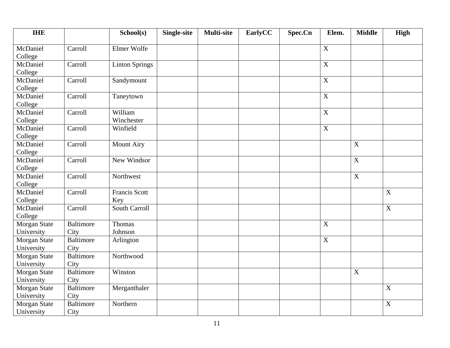| <b>IHE</b>                 |                          | School(s)                   | <b>Single-site</b> | <b>Multi-site</b> | EarlyCC | Spec.Cn | Elem.          | <b>Middle</b>    | <b>High</b>               |
|----------------------------|--------------------------|-----------------------------|--------------------|-------------------|---------|---------|----------------|------------------|---------------------------|
| McDaniel<br>College        | Carroll                  | Elmer Wolfe                 |                    |                   |         |         | $\mathbf X$    |                  |                           |
| McDaniel<br>College        | Carroll                  | <b>Linton Springs</b>       |                    |                   |         |         | $\overline{X}$ |                  |                           |
| McDaniel<br>College        | Carroll                  | Sandymount                  |                    |                   |         |         | $\mathbf X$    |                  |                           |
| McDaniel<br>College        | Carroll                  | Taneytown                   |                    |                   |         |         | $\mathbf X$    |                  |                           |
| McDaniel<br>College        | Carroll                  | William<br>Winchester       |                    |                   |         |         | $\overline{X}$ |                  |                           |
| McDaniel<br>College        | Carroll                  | Winfield                    |                    |                   |         |         | $\mathbf X$    |                  |                           |
| McDaniel<br>College        | Carroll                  | <b>Mount Airy</b>           |                    |                   |         |         |                | $\boldsymbol{X}$ |                           |
| McDaniel<br>College        | Carroll                  | New Windsor                 |                    |                   |         |         |                | $\mathbf X$      |                           |
| McDaniel<br>College        | Carroll                  | Northwest                   |                    |                   |         |         |                | $\mathbf X$      |                           |
| McDaniel<br>College        | Carroll                  | <b>Francis Scott</b><br>Key |                    |                   |         |         |                |                  | X                         |
| McDaniel<br>College        | Carroll                  | <b>South Carroll</b>        |                    |                   |         |         |                |                  | $\boldsymbol{\mathrm{X}}$ |
| Morgan State<br>University | <b>Baltimore</b><br>City | Thomas<br>Johnson           |                    |                   |         |         | $\mathbf X$    |                  |                           |
| Morgan State<br>University | Baltimore<br>City        | Arlington                   |                    |                   |         |         | $\mathbf X$    |                  |                           |
| Morgan State<br>University | <b>Baltimore</b><br>City | Northwood                   |                    |                   |         |         |                |                  |                           |
| Morgan State<br>University | Baltimore<br>City        | Winston                     |                    |                   |         |         |                | X                |                           |
| Morgan State<br>University | <b>Baltimore</b><br>City | Merganthaler                |                    |                   |         |         |                |                  | X                         |
| Morgan State<br>University | <b>Baltimore</b><br>City | Northern                    |                    |                   |         |         |                |                  | $\overline{X}$            |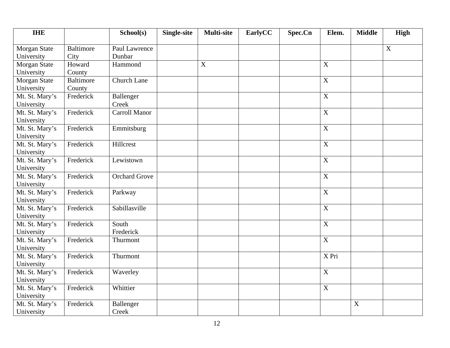| <b>IHE</b>     |                  | School(s)            | <b>Single-site</b> | <b>Multi-site</b> | EarlyCC | Spec.Cn | Elem.            | <b>Middle</b> | <b>High</b>               |
|----------------|------------------|----------------------|--------------------|-------------------|---------|---------|------------------|---------------|---------------------------|
| Morgan State   | <b>Baltimore</b> | Paul Lawrence        |                    |                   |         |         |                  |               | $\boldsymbol{\mathrm{X}}$ |
| University     | City             | Dunbar               |                    |                   |         |         |                  |               |                           |
| Morgan State   | Howard           | Hammond              |                    | $\mathbf X$       |         |         | $\mathbf X$      |               |                           |
| University     | County           |                      |                    |                   |         |         |                  |               |                           |
| Morgan State   | <b>Baltimore</b> | <b>Church Lane</b>   |                    |                   |         |         | $\mathbf X$      |               |                           |
| University     | County           |                      |                    |                   |         |         |                  |               |                           |
| Mt. St. Mary's | Frederick        | Ballenger            |                    |                   |         |         | $\mathbf X$      |               |                           |
| University     |                  | Creek                |                    |                   |         |         |                  |               |                           |
| Mt. St. Mary's | Frederick        | <b>Carroll Manor</b> |                    |                   |         |         | $\overline{X}$   |               |                           |
| University     |                  |                      |                    |                   |         |         |                  |               |                           |
| Mt. St. Mary's | Frederick        | Emmitsburg           |                    |                   |         |         | $\mathbf X$      |               |                           |
| University     |                  |                      |                    |                   |         |         |                  |               |                           |
| Mt. St. Mary's | Frederick        | Hillcrest            |                    |                   |         |         | $\mathbf X$      |               |                           |
| University     |                  |                      |                    |                   |         |         |                  |               |                           |
| Mt. St. Mary's | Frederick        | Lewistown            |                    |                   |         |         | $\mathbf X$      |               |                           |
| University     |                  |                      |                    |                   |         |         |                  |               |                           |
| Mt. St. Mary's | Frederick        | <b>Orchard Grove</b> |                    |                   |         |         | $\mathbf X$      |               |                           |
| University     |                  |                      |                    |                   |         |         |                  |               |                           |
| Mt. St. Mary's | Frederick        | Parkway              |                    |                   |         |         | $\mathbf X$      |               |                           |
| University     |                  |                      |                    |                   |         |         |                  |               |                           |
| Mt. St. Mary's | Frederick        | Sabillasville        |                    |                   |         |         | $\overline{X}$   |               |                           |
| University     |                  |                      |                    |                   |         |         |                  |               |                           |
| Mt. St. Mary's | Frederick        | South                |                    |                   |         |         | $\mathbf X$      |               |                           |
| University     |                  | Frederick            |                    |                   |         |         |                  |               |                           |
| Mt. St. Mary's | Frederick        | Thurmont             |                    |                   |         |         | $\boldsymbol{X}$ |               |                           |
| University     |                  |                      |                    |                   |         |         |                  |               |                           |
| Mt. St. Mary's | Frederick        | Thurmont             |                    |                   |         |         | X Pri            |               |                           |
| University     |                  |                      |                    |                   |         |         |                  |               |                           |
| Mt. St. Mary's | Frederick        | Waverley             |                    |                   |         |         | $\mathbf X$      |               |                           |
| University     |                  |                      |                    |                   |         |         |                  |               |                           |
| Mt. St. Mary's | Frederick        | Whittier             |                    |                   |         |         | $\mathbf X$      |               |                           |
| University     |                  |                      |                    |                   |         |         |                  |               |                           |
| Mt. St. Mary's | Frederick        | Ballenger            |                    |                   |         |         |                  | X             |                           |
| University     |                  | Creek                |                    |                   |         |         |                  |               |                           |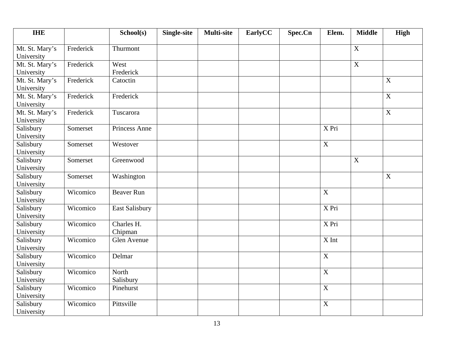| <b>IHE</b>                   |           | School(s)             | <b>Single-site</b> | <b>Multi-site</b> | EarlyCC | Spec.Cn | Elem.              | <b>Middle</b> | High                      |
|------------------------------|-----------|-----------------------|--------------------|-------------------|---------|---------|--------------------|---------------|---------------------------|
| Mt. St. Mary's<br>University | Frederick | Thurmont              |                    |                   |         |         |                    | $\mathbf X$   |                           |
| Mt. St. Mary's<br>University | Frederick | West<br>Frederick     |                    |                   |         |         |                    | $\mathbf X$   |                           |
| Mt. St. Mary's<br>University | Frederick | Catoctin              |                    |                   |         |         |                    |               | X                         |
| Mt. St. Mary's<br>University | Frederick | Frederick             |                    |                   |         |         |                    |               | $\mathbf X$               |
| Mt. St. Mary's<br>University | Frederick | Tuscarora             |                    |                   |         |         |                    |               | $\boldsymbol{\mathrm{X}}$ |
| Salisbury<br>University      | Somerset  | Princess Anne         |                    |                   |         |         | X Pri              |               |                           |
| Salisbury<br>University      | Somerset  | Westover              |                    |                   |         |         | $\mathbf X$        |               |                           |
| Salisbury<br>University      | Somerset  | Greenwood             |                    |                   |         |         |                    | X             |                           |
| Salisbury<br>University      | Somerset  | Washington            |                    |                   |         |         |                    |               | $\boldsymbol{\mathrm{X}}$ |
| Salisbury<br>University      | Wicomico  | <b>Beaver Run</b>     |                    |                   |         |         | $\overline{X}$     |               |                           |
| Salisbury<br>University      | Wicomico  | East Salisbury        |                    |                   |         |         | $\overline{X}$ Pri |               |                           |
| Salisbury<br>University      | Wicomico  | Charles H.<br>Chipman |                    |                   |         |         | X Pri              |               |                           |
| Salisbury<br>University      | Wicomico  | Glen Avenue           |                    |                   |         |         | X Int              |               |                           |
| Salisbury<br>University      | Wicomico  | Delmar                |                    |                   |         |         | $\mathbf X$        |               |                           |
| Salisbury<br>University      | Wicomico  | North<br>Salisbury    |                    |                   |         |         | $\overline{X}$     |               |                           |
| Salisbury<br>University      | Wicomico  | Pinehurst             |                    |                   |         |         | $\mathbf X$        |               |                           |
| Salisbury<br>University      | Wicomico  | Pittsville            |                    |                   |         |         | $\overline{X}$     |               |                           |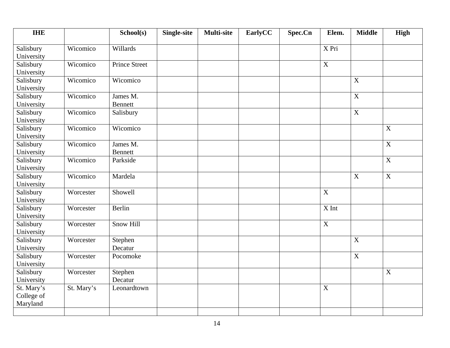| <b>IHE</b>                           |            | School(s)                  | <b>Single-site</b> | <b>Multi-site</b> | EarlyCC | Spec.Cn | Elem.            | <b>Middle</b>    | High                      |
|--------------------------------------|------------|----------------------------|--------------------|-------------------|---------|---------|------------------|------------------|---------------------------|
| Salisbury<br>University              | Wicomico   | Willards                   |                    |                   |         |         | X Pri            |                  |                           |
| Salisbury<br>University              | Wicomico   | <b>Prince Street</b>       |                    |                   |         |         | $\overline{X}$   |                  |                           |
| Salisbury<br>University              | Wicomico   | Wicomico                   |                    |                   |         |         |                  | X                |                           |
| Salisbury<br>University              | Wicomico   | James M.<br>Bennett        |                    |                   |         |         |                  | $\boldsymbol{X}$ |                           |
| Salisbury<br>University              | Wicomico   | Salisbury                  |                    |                   |         |         |                  | $\boldsymbol{X}$ |                           |
| Salisbury<br>University              | Wicomico   | Wicomico                   |                    |                   |         |         |                  |                  | X                         |
| Salisbury<br>University              | Wicomico   | James M.<br><b>Bennett</b> |                    |                   |         |         |                  |                  | $\mathbf X$               |
| Salisbury<br>University              | Wicomico   | Parkside                   |                    |                   |         |         |                  |                  | $\mathbf X$               |
| Salisbury<br>University              | Wicomico   | Mardela                    |                    |                   |         |         |                  | X                | $\boldsymbol{\mathrm{X}}$ |
| Salisbury<br>University              | Worcester  | Showell                    |                    |                   |         |         | $\overline{X}$   |                  |                           |
| Salisbury<br>University              | Worcester  | Berlin                     |                    |                   |         |         | X Int            |                  |                           |
| Salisbury<br>University              | Worcester  | <b>Snow Hill</b>           |                    |                   |         |         | $\mathbf X$      |                  |                           |
| Salisbury<br>University              | Worcester  | Stephen<br>Decatur         |                    |                   |         |         |                  | $\mathbf X$      |                           |
| Salisbury<br>University              | Worcester  | Pocomoke                   |                    |                   |         |         |                  | $\mathbf X$      |                           |
| Salisbury<br>University              | Worcester  | Stephen<br>Decatur         |                    |                   |         |         |                  |                  | X                         |
| St. Mary's<br>College of<br>Maryland | St. Mary's | Leonardtown                |                    |                   |         |         | $\boldsymbol{X}$ |                  |                           |
|                                      |            |                            |                    |                   |         |         |                  |                  |                           |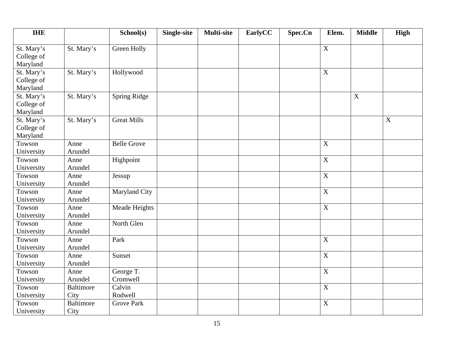| <b>IHE</b> |                  | School(s)          | <b>Single-site</b> | <b>Multi-site</b> | EarlyCC | Spec.Cn | Elem.          | <b>Middle</b>    | <b>High</b> |
|------------|------------------|--------------------|--------------------|-------------------|---------|---------|----------------|------------------|-------------|
| St. Mary's | St. Mary's       | Green Holly        |                    |                   |         |         | $\mathbf X$    |                  |             |
| College of |                  |                    |                    |                   |         |         |                |                  |             |
| Maryland   |                  |                    |                    |                   |         |         |                |                  |             |
| St. Mary's | St. Mary's       | Hollywood          |                    |                   |         |         | $\overline{X}$ |                  |             |
| College of |                  |                    |                    |                   |         |         |                |                  |             |
| Maryland   |                  |                    |                    |                   |         |         |                |                  |             |
| St. Mary's | St. Mary's       | Spring Ridge       |                    |                   |         |         |                | $\boldsymbol{X}$ |             |
| College of |                  |                    |                    |                   |         |         |                |                  |             |
| Maryland   |                  |                    |                    |                   |         |         |                |                  |             |
| St. Mary's | St. Mary's       | <b>Great Mills</b> |                    |                   |         |         |                |                  | X           |
| College of |                  |                    |                    |                   |         |         |                |                  |             |
| Maryland   |                  |                    |                    |                   |         |         |                |                  |             |
| Towson     | Anne             | <b>Belle Grove</b> |                    |                   |         |         | $\mathbf X$    |                  |             |
| University | Arundel          |                    |                    |                   |         |         |                |                  |             |
| Towson     | Anne             | Highpoint          |                    |                   |         |         | $\mathbf X$    |                  |             |
| University | Arundel          |                    |                    |                   |         |         |                |                  |             |
| Towson     | Anne             | Jessup             |                    |                   |         |         | $\mathbf X$    |                  |             |
| University | Arundel          |                    |                    |                   |         |         |                |                  |             |
| Towson     | Anne             | Maryland City      |                    |                   |         |         | $\mathbf X$    |                  |             |
| University | Arundel          |                    |                    |                   |         |         |                |                  |             |
| Towson     | Anne             | Meade Heights      |                    |                   |         |         | $\overline{X}$ |                  |             |
| University | Arundel          |                    |                    |                   |         |         |                |                  |             |
| Towson     | Anne             | North Glen         |                    |                   |         |         |                |                  |             |
| University | Arundel          |                    |                    |                   |         |         |                |                  |             |
| Towson     | Anne             | Park               |                    |                   |         |         | $\mathbf X$    |                  |             |
| University | Arundel          |                    |                    |                   |         |         |                |                  |             |
| Towson     | Anne             | Sunset             |                    |                   |         |         | $\mathbf X$    |                  |             |
| University | Arundel          |                    |                    |                   |         |         |                |                  |             |
| Towson     | Anne             | George T.          |                    |                   |         |         | $\mathbf X$    |                  |             |
| University | Arundel          | Cromwell           |                    |                   |         |         |                |                  |             |
| Towson     | <b>Baltimore</b> | Calvin             |                    |                   |         |         | $\mathbf X$    |                  |             |
| University | City             | Rodwell            |                    |                   |         |         |                |                  |             |
| Towson     | <b>Baltimore</b> | <b>Grove Park</b>  |                    |                   |         |         | $\mathbf X$    |                  |             |
| University | City             |                    |                    |                   |         |         |                |                  |             |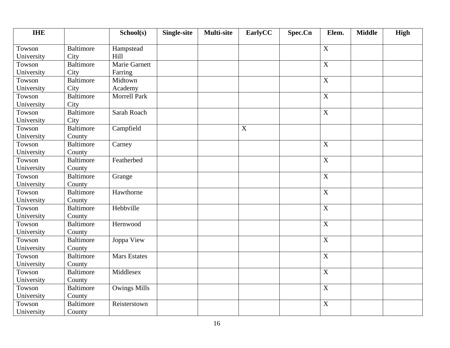| <b>IHE</b> |                  | School(s)           | Single-site | <b>Multi-site</b> | EarlyCC | Spec.Cn | Elem.                     | <b>Middle</b> | <b>High</b> |
|------------|------------------|---------------------|-------------|-------------------|---------|---------|---------------------------|---------------|-------------|
| Towson     | <b>Baltimore</b> | Hampstead           |             |                   |         |         | $\mathbf X$               |               |             |
| University | City             | Hill                |             |                   |         |         |                           |               |             |
| Towson     | <b>Baltimore</b> | Marie Garnett       |             |                   |         |         | $\mathbf X$               |               |             |
| University | City             | Farring             |             |                   |         |         |                           |               |             |
| Towson     | <b>Baltimore</b> | Midtown             |             |                   |         |         | $\overline{X}$            |               |             |
| University | City             | Academy             |             |                   |         |         |                           |               |             |
| Towson     | <b>Baltimore</b> | <b>Morrell Park</b> |             |                   |         |         | $\mathbf X$               |               |             |
| University | City             |                     |             |                   |         |         |                           |               |             |
| Towson     | Baltimore        | Sarah Roach         |             |                   |         |         | $\overline{X}$            |               |             |
| University | City             |                     |             |                   |         |         |                           |               |             |
| Towson     | <b>Baltimore</b> | Campfield           |             |                   | X       |         |                           |               |             |
| University | County           |                     |             |                   |         |         |                           |               |             |
| Towson     | <b>Baltimore</b> | Carney              |             |                   |         |         | $\mathbf X$               |               |             |
| University | County           |                     |             |                   |         |         |                           |               |             |
| Towson     | <b>Baltimore</b> | Featherbed          |             |                   |         |         | $\overline{X}$            |               |             |
| University | County           |                     |             |                   |         |         |                           |               |             |
| Towson     | <b>Baltimore</b> | Grange              |             |                   |         |         | $\boldsymbol{\mathrm{X}}$ |               |             |
| University | County           |                     |             |                   |         |         |                           |               |             |
| Towson     | <b>Baltimore</b> | Hawthorne           |             |                   |         |         | $\overline{X}$            |               |             |
| University | County           |                     |             |                   |         |         |                           |               |             |
| Towson     | <b>Baltimore</b> | Hebbville           |             |                   |         |         | $\overline{X}$            |               |             |
| University | County           |                     |             |                   |         |         |                           |               |             |
| Towson     | <b>Baltimore</b> | Hernwood            |             |                   |         |         | $\overline{X}$            |               |             |
| University | County           |                     |             |                   |         |         |                           |               |             |
| Towson     | <b>Baltimore</b> | Joppa View          |             |                   |         |         | $\mathbf X$               |               |             |
| University | County           |                     |             |                   |         |         |                           |               |             |
| Towson     | <b>Baltimore</b> | <b>Mars Estates</b> |             |                   |         |         | X                         |               |             |
| University | County           |                     |             |                   |         |         |                           |               |             |
| Towson     | <b>Baltimore</b> | Middlesex           |             |                   |         |         | $\overline{X}$            |               |             |
| University | County           |                     |             |                   |         |         |                           |               |             |
| Towson     | <b>Baltimore</b> | <b>Owings Mills</b> |             |                   |         |         | $\mathbf X$               |               |             |
| University | County           |                     |             |                   |         |         |                           |               |             |
| Towson     | <b>Baltimore</b> | Reisterstown        |             |                   |         |         | $\mathbf X$               |               |             |
| University | County           |                     |             |                   |         |         |                           |               |             |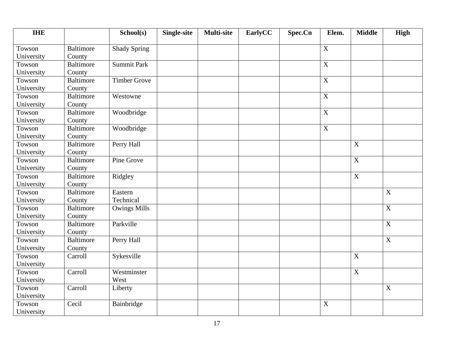| <b>IHE</b> |                  | School(s)           | Single-site | <b>Multi-site</b> | EarlyCC | Spec.Cn | Elem.          | <b>Middle</b>    | <b>High</b>               |
|------------|------------------|---------------------|-------------|-------------------|---------|---------|----------------|------------------|---------------------------|
| Towson     | <b>Baltimore</b> | <b>Shady Spring</b> |             |                   |         |         | $\mathbf X$    |                  |                           |
| University | County           |                     |             |                   |         |         |                |                  |                           |
| Towson     | <b>Baltimore</b> | <b>Summit Park</b>  |             |                   |         |         | $\mathbf X$    |                  |                           |
| University | County           |                     |             |                   |         |         |                |                  |                           |
| Towson     | <b>Baltimore</b> | <b>Timber Grove</b> |             |                   |         |         | $\overline{X}$ |                  |                           |
| University | County           |                     |             |                   |         |         |                |                  |                           |
| Towson     | <b>Baltimore</b> | Westowne            |             |                   |         |         | $\mathbf X$    |                  |                           |
| University | County           |                     |             |                   |         |         |                |                  |                           |
| Towson     | <b>Baltimore</b> | Woodbridge          |             |                   |         |         | $\overline{X}$ |                  |                           |
| University | County           |                     |             |                   |         |         |                |                  |                           |
| Towson     | Baltimore        | Woodbridge          |             |                   |         |         | $\mathbf X$    |                  |                           |
| University | County           |                     |             |                   |         |         |                |                  |                           |
| Towson     | <b>Baltimore</b> | Perry Hall          |             |                   |         |         |                | $\mathbf X$      |                           |
| University | County           |                     |             |                   |         |         |                |                  |                           |
| Towson     | <b>Baltimore</b> | Pine Grove          |             |                   |         |         |                | $\boldsymbol{X}$ |                           |
| University | County           |                     |             |                   |         |         |                |                  |                           |
| Towson     | <b>Baltimore</b> | Ridgley             |             |                   |         |         |                | $\boldsymbol{X}$ |                           |
| University | County           |                     |             |                   |         |         |                |                  |                           |
| Towson     | <b>Baltimore</b> | Eastern             |             |                   |         |         |                |                  | $\mathbf X$               |
| University | County           | Technical           |             |                   |         |         |                |                  |                           |
| Towson     | <b>Baltimore</b> | <b>Owings Mills</b> |             |                   |         |         |                |                  | X                         |
| University | County           |                     |             |                   |         |         |                |                  |                           |
| Towson     | <b>Baltimore</b> | Parkville           |             |                   |         |         |                |                  | $\overline{X}$            |
| University | County           |                     |             |                   |         |         |                |                  |                           |
| Towson     | <b>Baltimore</b> | Perry Hall          |             |                   |         |         |                |                  | X                         |
| University | County           |                     |             |                   |         |         |                |                  |                           |
| Towson     | Carroll          | Sykesville          |             |                   |         |         |                | X                |                           |
| University |                  |                     |             |                   |         |         |                |                  |                           |
| Towson     | Carroll          | Westminster         |             |                   |         |         |                | $\overline{X}$   |                           |
| University |                  | West                |             |                   |         |         |                |                  |                           |
| Towson     | Carroll          | Liberty             |             |                   |         |         |                |                  | $\boldsymbol{\mathrm{X}}$ |
| University |                  |                     |             |                   |         |         |                |                  |                           |
| Towson     | Cecil            | Bainbridge          |             |                   |         |         | X              |                  |                           |
| University |                  |                     |             |                   |         |         |                |                  |                           |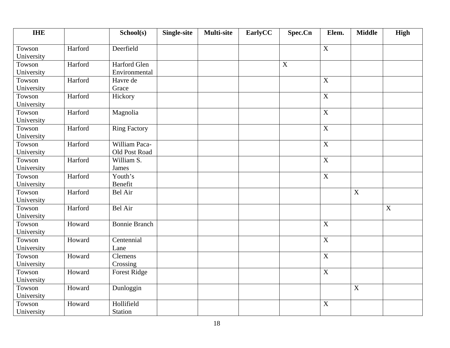| <b>IHE</b>           |         | School(s)            | <b>Single-site</b> | <b>Multi-site</b> | EarlyCC | Spec.Cn | Elem.                     | <b>Middle</b> | High |
|----------------------|---------|----------------------|--------------------|-------------------|---------|---------|---------------------------|---------------|------|
| Towson               | Harford | Deerfield            |                    |                   |         |         | $\boldsymbol{\mathrm{X}}$ |               |      |
| University           |         |                      |                    |                   |         |         |                           |               |      |
| Towson               | Harford | Harford Glen         |                    |                   |         | X       |                           |               |      |
| University           |         | Environmental        |                    |                   |         |         |                           |               |      |
| Towson               | Harford | Havre de             |                    |                   |         |         | $\overline{X}$            |               |      |
| University           |         | Grace                |                    |                   |         |         |                           |               |      |
| Towson               | Harford | Hickory              |                    |                   |         |         | $\boldsymbol{\mathrm{X}}$ |               |      |
| University           |         |                      |                    |                   |         |         |                           |               |      |
| Towson               | Harford | Magnolia             |                    |                   |         |         | $\overline{\mathbf{X}}$   |               |      |
| University           |         |                      |                    |                   |         |         |                           |               |      |
| Towson               | Harford | <b>Ring Factory</b>  |                    |                   |         |         | $\mathbf X$               |               |      |
| University           |         |                      |                    |                   |         |         |                           |               |      |
| Towson               | Harford | William Paca-        |                    |                   |         |         | $\mathbf X$               |               |      |
| University           |         | Old Post Road        |                    |                   |         |         |                           |               |      |
| Towson               | Harford | William S.           |                    |                   |         |         | $\mathbf X$               |               |      |
| University           |         | James                |                    |                   |         |         |                           |               |      |
| Towson               | Harford | Youth's              |                    |                   |         |         | $\mathbf X$               |               |      |
| University           |         | Benefit              |                    |                   |         |         |                           |               |      |
| Towson               | Harford | <b>Bel Air</b>       |                    |                   |         |         |                           | $\mathbf X$   |      |
| University           |         |                      |                    |                   |         |         |                           |               |      |
| Towson               | Harford | Bel Air              |                    |                   |         |         |                           |               | X    |
| University           |         |                      |                    |                   |         |         |                           |               |      |
| Towson               | Howard  | <b>Bonnie Branch</b> |                    |                   |         |         | $\overline{X}$            |               |      |
| University           |         |                      |                    |                   |         |         |                           |               |      |
| Towson               | Howard  | Centennial           |                    |                   |         |         | $\mathbf X$               |               |      |
| University           |         | Lane                 |                    |                   |         |         |                           |               |      |
| Towson               | Howard  | Clemens              |                    |                   |         |         | $\boldsymbol{X}$          |               |      |
| University           |         | Crossing             |                    |                   |         |         |                           |               |      |
| Towson<br>University | Howard  | <b>Forest Ridge</b>  |                    |                   |         |         | $\overline{X}$            |               |      |
| Towson               | Howard  | Dunloggin            |                    |                   |         |         |                           | X             |      |
| University           |         |                      |                    |                   |         |         |                           |               |      |
| Towson               | Howard  | Hollifield           |                    |                   |         |         | $\boldsymbol{X}$          |               |      |
| University           |         | Station              |                    |                   |         |         |                           |               |      |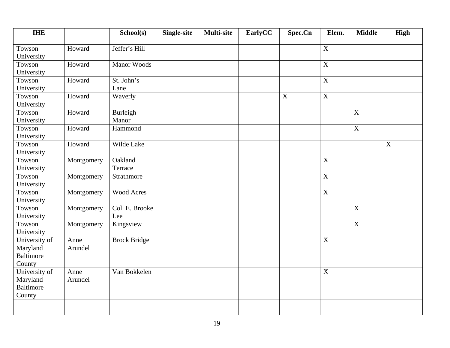| <b>IHE</b>                                              |                 | School(s)             | <b>Single-site</b> | <b>Multi-site</b> | EarlyCC | Spec.Cn     | Elem.          | <b>Middle</b>    | <b>High</b>               |
|---------------------------------------------------------|-----------------|-----------------------|--------------------|-------------------|---------|-------------|----------------|------------------|---------------------------|
| Towson<br>University                                    | Howard          | Jeffer's Hill         |                    |                   |         |             | $\mathbf X$    |                  |                           |
| Towson<br>University                                    | Howard          | <b>Manor Woods</b>    |                    |                   |         |             | $\mathbf X$    |                  |                           |
| Towson<br>University                                    | Howard          | St. John's<br>Lane    |                    |                   |         |             | $\overline{X}$ |                  |                           |
| Towson<br>University                                    | Howard          | Waverly               |                    |                   |         | $\mathbf X$ | $\overline{X}$ |                  |                           |
| Towson<br>University                                    | Howard          | Burleigh<br>Manor     |                    |                   |         |             |                | $\mathbf X$      |                           |
| Towson<br>University                                    | Howard          | Hammond               |                    |                   |         |             |                | $\mathbf X$      |                           |
| Towson<br>University                                    | Howard          | Wilde Lake            |                    |                   |         |             |                |                  | $\boldsymbol{\mathrm{X}}$ |
| Towson<br>University                                    | Montgomery      | Oakland<br>Terrace    |                    |                   |         |             | $\mathbf X$    |                  |                           |
| Towson<br>University                                    | Montgomery      | Strathmore            |                    |                   |         |             | $\overline{X}$ |                  |                           |
| Towson<br>University                                    | Montgomery      | Wood Acres            |                    |                   |         |             | $\overline{X}$ |                  |                           |
| Towson<br>University                                    | Montgomery      | Col. E. Brooke<br>Lee |                    |                   |         |             |                | $\overline{X}$   |                           |
| Towson<br>University                                    | Montgomery      | Kingsview             |                    |                   |         |             |                | $\boldsymbol{X}$ |                           |
| University of<br>Maryland<br><b>Baltimore</b><br>County | Anne<br>Arundel | <b>Brock Bridge</b>   |                    |                   |         |             | $\overline{X}$ |                  |                           |
| University of<br>Maryland<br><b>Baltimore</b><br>County | Anne<br>Arundel | Van Bokkelen          |                    |                   |         |             | $\mathbf X$    |                  |                           |
|                                                         |                 |                       |                    |                   |         |             |                |                  |                           |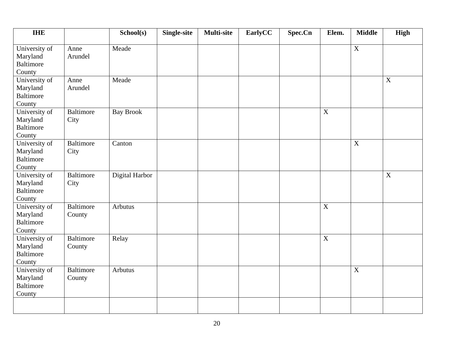| <b>IHE</b>                                              |                            | School(s)        | <b>Single-site</b> | <b>Multi-site</b> | EarlyCC | Spec.Cn | Elem.            | <b>Middle</b>  | <b>High</b> |
|---------------------------------------------------------|----------------------------|------------------|--------------------|-------------------|---------|---------|------------------|----------------|-------------|
| University of<br>Maryland<br><b>Baltimore</b><br>County | Anne<br>Arundel            | Meade            |                    |                   |         |         |                  | $\overline{X}$ |             |
| University of<br>Maryland<br><b>Baltimore</b><br>County | Anne<br>Arundel            | Meade            |                    |                   |         |         |                  |                | $\mathbf X$ |
| University of<br>Maryland<br><b>Baltimore</b><br>County | <b>Baltimore</b><br>City   | <b>Bay Brook</b> |                    |                   |         |         | $\mathbf X$      |                |             |
| University of<br>Maryland<br><b>Baltimore</b><br>County | <b>Baltimore</b><br>City   | Canton           |                    |                   |         |         |                  | $\mathbf X$    |             |
| University of<br>Maryland<br><b>Baltimore</b><br>County | <b>Baltimore</b><br>City   | Digital Harbor   |                    |                   |         |         |                  |                | X           |
| University of<br>Maryland<br><b>Baltimore</b><br>County | <b>Baltimore</b><br>County | Arbutus          |                    |                   |         |         | $\overline{X}$   |                |             |
| University of<br>Maryland<br><b>Baltimore</b><br>County | <b>Baltimore</b><br>County | Relay            |                    |                   |         |         | $\boldsymbol{X}$ |                |             |
| University of<br>Maryland<br><b>Baltimore</b><br>County | <b>Baltimore</b><br>County | Arbutus          |                    |                   |         |         |                  | $\mathbf X$    |             |
|                                                         |                            |                  |                    |                   |         |         |                  |                |             |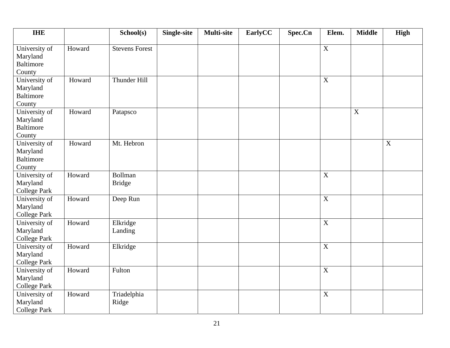| <b>IHE</b>                                              |        | School(s)                       | <b>Single-site</b> | <b>Multi-site</b> | EarlyCC | Spec.Cn | Elem.          | <b>Middle</b> | <b>High</b> |
|---------------------------------------------------------|--------|---------------------------------|--------------------|-------------------|---------|---------|----------------|---------------|-------------|
| University of<br>Maryland<br><b>Baltimore</b><br>County | Howard | <b>Stevens Forest</b>           |                    |                   |         |         | $\overline{X}$ |               |             |
| University of<br>Maryland<br><b>Baltimore</b><br>County | Howard | Thunder Hill                    |                    |                   |         |         | X              |               |             |
| University of<br>Maryland<br><b>Baltimore</b><br>County | Howard | Patapsco                        |                    |                   |         |         |                | $\mathbf X$   |             |
| University of<br>Maryland<br><b>Baltimore</b><br>County | Howard | Mt. Hebron                      |                    |                   |         |         |                |               | $\mathbf X$ |
| University of<br>Maryland<br><b>College Park</b>        | Howard | <b>Bollman</b><br><b>Bridge</b> |                    |                   |         |         | $\mathbf X$    |               |             |
| University of<br>Maryland<br><b>College Park</b>        | Howard | Deep Run                        |                    |                   |         |         | $\mathbf X$    |               |             |
| University of<br>Maryland<br><b>College Park</b>        | Howard | Elkridge<br>Landing             |                    |                   |         |         | $\overline{X}$ |               |             |
| University of<br>Maryland<br><b>College Park</b>        | Howard | Elkridge                        |                    |                   |         |         | $\mathbf X$    |               |             |
| University of<br>Maryland<br><b>College Park</b>        | Howard | Fulton                          |                    |                   |         |         | $\mathbf X$    |               |             |
| University of<br>Maryland<br><b>College Park</b>        | Howard | Triadelphia<br>Ridge            |                    |                   |         |         | $\mathbf X$    |               |             |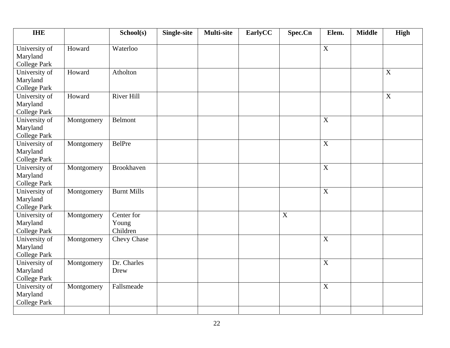| <b>IHE</b>                           |            | School(s)          | <b>Single-site</b> | <b>Multi-site</b> | EarlyCC | Spec.Cn     | Elem.       | <b>Middle</b> | <b>High</b> |
|--------------------------------------|------------|--------------------|--------------------|-------------------|---------|-------------|-------------|---------------|-------------|
| University of                        | Howard     | Waterloo           |                    |                   |         |             | $\mathbf X$ |               |             |
| Maryland<br><b>College Park</b>      |            |                    |                    |                   |         |             |             |               |             |
| University of                        | Howard     | Atholton           |                    |                   |         |             |             |               | X           |
| Maryland                             |            |                    |                    |                   |         |             |             |               |             |
| <b>College Park</b>                  |            |                    |                    |                   |         |             |             |               |             |
| University of                        | Howard     | River Hill         |                    |                   |         |             |             |               | $\mathbf X$ |
| Maryland                             |            |                    |                    |                   |         |             |             |               |             |
| <b>College Park</b>                  |            |                    |                    |                   |         |             |             |               |             |
| University of                        | Montgomery | Belmont            |                    |                   |         |             | $\mathbf X$ |               |             |
| Maryland                             |            |                    |                    |                   |         |             |             |               |             |
| <b>College Park</b><br>University of | Montgomery | BelPre             |                    |                   |         |             | X           |               |             |
| Maryland                             |            |                    |                    |                   |         |             |             |               |             |
| <b>College Park</b>                  |            |                    |                    |                   |         |             |             |               |             |
| University of                        | Montgomery | Brookhaven         |                    |                   |         |             | $\mathbf X$ |               |             |
| Maryland                             |            |                    |                    |                   |         |             |             |               |             |
| <b>College Park</b>                  |            |                    |                    |                   |         |             |             |               |             |
| University of                        | Montgomery | <b>Burnt Mills</b> |                    |                   |         |             | $\mathbf X$ |               |             |
| Maryland                             |            |                    |                    |                   |         |             |             |               |             |
| <b>College Park</b>                  |            |                    |                    |                   |         |             |             |               |             |
| University of                        | Montgomery | Center for         |                    |                   |         | $\mathbf X$ |             |               |             |
| Maryland                             |            | Young<br>Children  |                    |                   |         |             |             |               |             |
| <b>College Park</b><br>University of | Montgomery | <b>Chevy Chase</b> |                    |                   |         |             | $\mathbf X$ |               |             |
| Maryland                             |            |                    |                    |                   |         |             |             |               |             |
| <b>College Park</b>                  |            |                    |                    |                   |         |             |             |               |             |
| University of                        | Montgomery | Dr. Charles        |                    |                   |         |             | $\mathbf X$ |               |             |
| Maryland                             |            | Drew               |                    |                   |         |             |             |               |             |
| <b>College Park</b>                  |            |                    |                    |                   |         |             |             |               |             |
| University of                        | Montgomery | Fallsmeade         |                    |                   |         |             | $\mathbf X$ |               |             |
| Maryland                             |            |                    |                    |                   |         |             |             |               |             |
| <b>College Park</b>                  |            |                    |                    |                   |         |             |             |               |             |
|                                      |            |                    |                    |                   |         |             |             |               |             |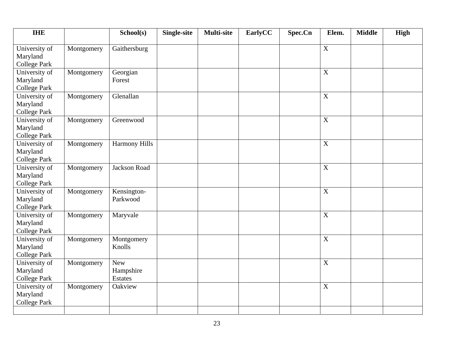| <b>IHE</b>                                       |            | School(s)                                 | <b>Single-site</b> | <b>Multi-site</b> | EarlyCC | Spec.Cn | Elem.          | <b>Middle</b> | <b>High</b> |
|--------------------------------------------------|------------|-------------------------------------------|--------------------|-------------------|---------|---------|----------------|---------------|-------------|
| University of<br>Maryland<br><b>College Park</b> | Montgomery | Gaithersburg                              |                    |                   |         |         | $\mathbf X$    |               |             |
| University of<br>Maryland<br><b>College Park</b> | Montgomery | Georgian<br>Forest                        |                    |                   |         |         | $\mathbf X$    |               |             |
| University of<br>Maryland<br><b>College Park</b> | Montgomery | Glenallan                                 |                    |                   |         |         | $\mathbf X$    |               |             |
| University of<br>Maryland<br><b>College Park</b> | Montgomery | Greenwood                                 |                    |                   |         |         | $\mathbf X$    |               |             |
| University of<br>Maryland<br><b>College Park</b> | Montgomery | <b>Harmony Hills</b>                      |                    |                   |         |         | X              |               |             |
| University of<br>Maryland<br><b>College Park</b> | Montgomery | Jackson Road                              |                    |                   |         |         | $\mathbf X$    |               |             |
| University of<br>Maryland<br><b>College Park</b> | Montgomery | Kensington-<br>Parkwood                   |                    |                   |         |         | $\mathbf X$    |               |             |
| University of<br>Maryland<br><b>College Park</b> | Montgomery | Maryvale                                  |                    |                   |         |         | $\overline{X}$ |               |             |
| University of<br>Maryland<br><b>College Park</b> | Montgomery | Montgomery<br>Knolls                      |                    |                   |         |         | $\mathbf X$    |               |             |
| University of<br>Maryland<br><b>College Park</b> | Montgomery | <b>New</b><br>Hampshire<br><b>Estates</b> |                    |                   |         |         | $\mathbf X$    |               |             |
| University of<br>Maryland<br><b>College Park</b> | Montgomery | Oakview                                   |                    |                   |         |         | $\mathbf X$    |               |             |
|                                                  |            |                                           |                    |                   |         |         |                |               |             |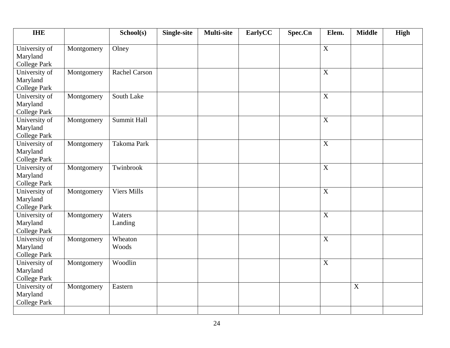| <b>IHE</b>                |            | School(s)            | <b>Single-site</b> | <b>Multi-site</b> | EarlyCC | Spec.Cn | Elem.          | <b>Middle</b> | <b>High</b> |
|---------------------------|------------|----------------------|--------------------|-------------------|---------|---------|----------------|---------------|-------------|
| University of<br>Maryland | Montgomery | Olney                |                    |                   |         |         | $\mathbf X$    |               |             |
| <b>College Park</b>       |            |                      |                    |                   |         |         |                |               |             |
| University of             | Montgomery | <b>Rachel Carson</b> |                    |                   |         |         | X              |               |             |
| Maryland                  |            |                      |                    |                   |         |         |                |               |             |
| <b>College Park</b>       |            |                      |                    |                   |         |         |                |               |             |
| University of             | Montgomery | South Lake           |                    |                   |         |         | $\mathbf X$    |               |             |
| Maryland                  |            |                      |                    |                   |         |         |                |               |             |
| <b>College Park</b>       |            |                      |                    |                   |         |         |                |               |             |
| University of             | Montgomery | Summit Hall          |                    |                   |         |         | $\mathbf X$    |               |             |
| Maryland                  |            |                      |                    |                   |         |         |                |               |             |
| <b>College Park</b>       |            |                      |                    |                   |         |         |                |               |             |
| University of             | Montgomery | Takoma Park          |                    |                   |         |         | X              |               |             |
| Maryland                  |            |                      |                    |                   |         |         |                |               |             |
| <b>College Park</b>       |            |                      |                    |                   |         |         |                |               |             |
| University of             | Montgomery | Twinbrook            |                    |                   |         |         | $\mathbf X$    |               |             |
| Maryland                  |            |                      |                    |                   |         |         |                |               |             |
| <b>College Park</b>       |            |                      |                    |                   |         |         |                |               |             |
| University of             | Montgomery | <b>Viers Mills</b>   |                    |                   |         |         | $\mathbf X$    |               |             |
| Maryland                  |            |                      |                    |                   |         |         |                |               |             |
| <b>College Park</b>       |            |                      |                    |                   |         |         |                |               |             |
| University of             | Montgomery | Waters               |                    |                   |         |         | $\overline{X}$ |               |             |
| Maryland                  |            | Landing              |                    |                   |         |         |                |               |             |
| <b>College Park</b>       |            |                      |                    |                   |         |         |                |               |             |
| University of             | Montgomery | Wheaton              |                    |                   |         |         | $\mathbf X$    |               |             |
| Maryland                  |            | Woods                |                    |                   |         |         |                |               |             |
| <b>College Park</b>       |            |                      |                    |                   |         |         |                |               |             |
| University of             | Montgomery | Woodlin              |                    |                   |         |         | $\mathbf X$    |               |             |
| Maryland                  |            |                      |                    |                   |         |         |                |               |             |
| <b>College Park</b>       |            |                      |                    |                   |         |         |                |               |             |
| University of             | Montgomery | Eastern              |                    |                   |         |         |                | $\mathbf X$   |             |
| Maryland                  |            |                      |                    |                   |         |         |                |               |             |
| <b>College Park</b>       |            |                      |                    |                   |         |         |                |               |             |
|                           |            |                      |                    |                   |         |         |                |               |             |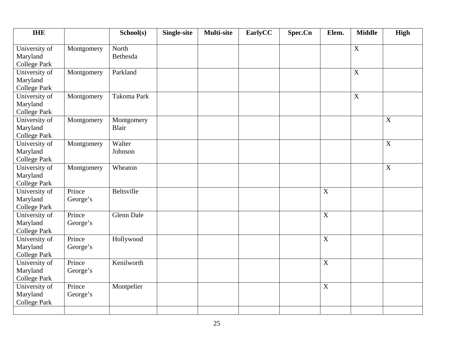| <b>THE</b>                                       |                    | School(s)           | <b>Single-site</b> | <b>Multi-site</b> | EarlyCC | Spec.Cn | Elem.          | <b>Middle</b> | <b>High</b>               |
|--------------------------------------------------|--------------------|---------------------|--------------------|-------------------|---------|---------|----------------|---------------|---------------------------|
| University of<br>Maryland<br><b>College Park</b> | Montgomery         | North<br>Bethesda   |                    |                   |         |         |                | $\mathbf X$   |                           |
| University of<br>Maryland<br><b>College Park</b> | Montgomery         | Parkland            |                    |                   |         |         |                | $\mathbf X$   |                           |
| University of<br>Maryland<br><b>College Park</b> | Montgomery         | Takoma Park         |                    |                   |         |         |                | $\mathbf X$   |                           |
| University of<br>Maryland<br><b>College Park</b> | Montgomery         | Montgomery<br>Blair |                    |                   |         |         |                |               | $\boldsymbol{\mathrm{X}}$ |
| University of<br>Maryland<br><b>College Park</b> | Montgomery         | Walter<br>Johnson   |                    |                   |         |         |                |               | $\boldsymbol{\mathrm{X}}$ |
| University of<br>Maryland<br><b>College Park</b> | Montgomery         | Wheaton             |                    |                   |         |         |                |               | $\mathbf X$               |
| University of<br>Maryland<br><b>College Park</b> | Prince<br>George's | <b>Beltsville</b>   |                    |                   |         |         | $\mathbf X$    |               |                           |
| University of<br>Maryland<br><b>College Park</b> | Prince<br>George's | <b>Glenn Dale</b>   |                    |                   |         |         | $\mathbf X$    |               |                           |
| University of<br>Maryland<br><b>College Park</b> | Prince<br>George's | Hollywood           |                    |                   |         |         | $\overline{X}$ |               |                           |
| University of<br>Maryland<br><b>College Park</b> | Prince<br>George's | Kenilworth          |                    |                   |         |         | $\mathbf X$    |               |                           |
| University of<br>Maryland<br><b>College Park</b> | Prince<br>George's | Montpelier          |                    |                   |         |         | $\mathbf X$    |               |                           |
|                                                  |                    |                     |                    |                   |         |         |                |               |                           |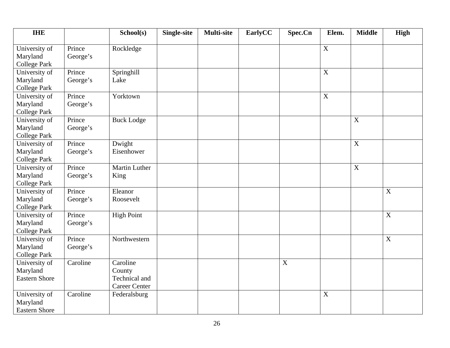| <b>IHE</b>           |          | School(s)            | <b>Single-site</b> | <b>Multi-site</b> | EarlyCC | Spec.Cn     | Elem.       | <b>Middle</b>    | <b>High</b>               |
|----------------------|----------|----------------------|--------------------|-------------------|---------|-------------|-------------|------------------|---------------------------|
| University of        | Prince   | Rockledge            |                    |                   |         |             | $\mathbf X$ |                  |                           |
| Maryland             | George's |                      |                    |                   |         |             |             |                  |                           |
| <b>College Park</b>  |          |                      |                    |                   |         |             |             |                  |                           |
| University of        | Prince   | Springhill           |                    |                   |         |             | $\mathbf X$ |                  |                           |
| Maryland             | George's | Lake                 |                    |                   |         |             |             |                  |                           |
| <b>College Park</b>  |          |                      |                    |                   |         |             |             |                  |                           |
| University of        | Prince   | Yorktown             |                    |                   |         |             | $\mathbf X$ |                  |                           |
| Maryland             | George's |                      |                    |                   |         |             |             |                  |                           |
| <b>College Park</b>  |          |                      |                    |                   |         |             |             |                  |                           |
| University of        | Prince   | <b>Buck Lodge</b>    |                    |                   |         |             |             | $\boldsymbol{X}$ |                           |
| Maryland             | George's |                      |                    |                   |         |             |             |                  |                           |
| <b>College Park</b>  |          |                      |                    |                   |         |             |             |                  |                           |
| University of        | Prince   | Dwight               |                    |                   |         |             |             | X                |                           |
| Maryland             | George's | Eisenhower           |                    |                   |         |             |             |                  |                           |
| <b>College Park</b>  |          |                      |                    |                   |         |             |             |                  |                           |
| University of        | Prince   | Martin Luther        |                    |                   |         |             |             | $\mathbf X$      |                           |
| Maryland             | George's | King                 |                    |                   |         |             |             |                  |                           |
| <b>College Park</b>  |          |                      |                    |                   |         |             |             |                  |                           |
| University of        | Prince   | Eleanor              |                    |                   |         |             |             |                  | $\boldsymbol{\mathrm{X}}$ |
| Maryland             | George's | Roosevelt            |                    |                   |         |             |             |                  |                           |
| <b>College Park</b>  |          |                      |                    |                   |         |             |             |                  |                           |
| University of        | Prince   | <b>High Point</b>    |                    |                   |         |             |             |                  | $\overline{X}$            |
| Maryland             | George's |                      |                    |                   |         |             |             |                  |                           |
| <b>College Park</b>  |          |                      |                    |                   |         |             |             |                  |                           |
| University of        | Prince   | Northwestern         |                    |                   |         |             |             |                  | $\boldsymbol{\mathrm{X}}$ |
| Maryland             | George's |                      |                    |                   |         |             |             |                  |                           |
| <b>College Park</b>  |          |                      |                    |                   |         |             |             |                  |                           |
| University of        | Caroline | Caroline             |                    |                   |         | $\mathbf X$ |             |                  |                           |
| Maryland             |          | County               |                    |                   |         |             |             |                  |                           |
| <b>Eastern Shore</b> |          | Technical and        |                    |                   |         |             |             |                  |                           |
|                      |          | <b>Career Center</b> |                    |                   |         |             |             |                  |                           |
| University of        | Caroline | Federalsburg         |                    |                   |         |             | $\mathbf X$ |                  |                           |
| Maryland             |          |                      |                    |                   |         |             |             |                  |                           |
| <b>Eastern Shore</b> |          |                      |                    |                   |         |             |             |                  |                           |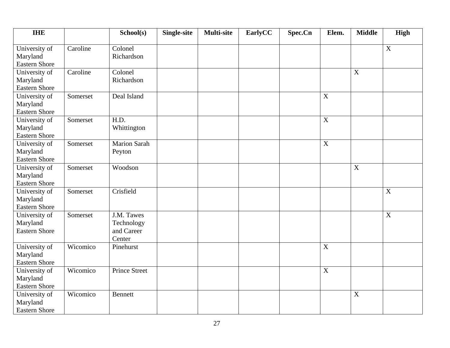| <b>IHE</b>           |          | School(s)            | Single-site | <b>Multi-site</b> | EarlyCC | Spec.Cn | Elem.          | <b>Middle</b>    | <b>High</b>               |
|----------------------|----------|----------------------|-------------|-------------------|---------|---------|----------------|------------------|---------------------------|
| University of        | Caroline | Colonel              |             |                   |         |         |                |                  | $\boldsymbol{\mathrm{X}}$ |
| Maryland             |          | Richardson           |             |                   |         |         |                |                  |                           |
| <b>Eastern Shore</b> |          |                      |             |                   |         |         |                |                  |                           |
| University of        | Caroline | Colonel              |             |                   |         |         |                | $\boldsymbol{X}$ |                           |
| Maryland             |          | Richardson           |             |                   |         |         |                |                  |                           |
| <b>Eastern Shore</b> |          |                      |             |                   |         |         |                |                  |                           |
| University of        | Somerset | Deal Island          |             |                   |         |         | $\overline{X}$ |                  |                           |
| Maryland             |          |                      |             |                   |         |         |                |                  |                           |
| <b>Eastern Shore</b> |          |                      |             |                   |         |         |                |                  |                           |
| University of        | Somerset | H.D.                 |             |                   |         |         | $\mathbf X$    |                  |                           |
| Maryland             |          | Whittington          |             |                   |         |         |                |                  |                           |
| <b>Eastern Shore</b> |          |                      |             |                   |         |         |                |                  |                           |
| University of        | Somerset | <b>Marion Sarah</b>  |             |                   |         |         | $\mathbf X$    |                  |                           |
| Maryland             |          | Peyton               |             |                   |         |         |                |                  |                           |
| <b>Eastern Shore</b> |          |                      |             |                   |         |         |                |                  |                           |
| University of        | Somerset | Woodson              |             |                   |         |         |                | $\boldsymbol{X}$ |                           |
| Maryland             |          |                      |             |                   |         |         |                |                  |                           |
| <b>Eastern Shore</b> |          |                      |             |                   |         |         |                |                  |                           |
| University of        | Somerset | Crisfield            |             |                   |         |         |                |                  | $\mathbf X$               |
| Maryland             |          |                      |             |                   |         |         |                |                  |                           |
| <b>Eastern Shore</b> |          |                      |             |                   |         |         |                |                  |                           |
| University of        | Somerset | J.M. Tawes           |             |                   |         |         |                |                  | $\mathbf X$               |
| Maryland             |          | Technology           |             |                   |         |         |                |                  |                           |
| <b>Eastern Shore</b> |          | and Career           |             |                   |         |         |                |                  |                           |
|                      |          | Center               |             |                   |         |         |                |                  |                           |
| University of        | Wicomico | Pinehurst            |             |                   |         |         | $\mathbf X$    |                  |                           |
| Maryland             |          |                      |             |                   |         |         |                |                  |                           |
| <b>Eastern Shore</b> |          |                      |             |                   |         |         |                |                  |                           |
| University of        | Wicomico | <b>Prince Street</b> |             |                   |         |         | $\mathbf X$    |                  |                           |
| Maryland             |          |                      |             |                   |         |         |                |                  |                           |
| <b>Eastern Shore</b> |          |                      |             |                   |         |         |                |                  |                           |
| University of        | Wicomico | <b>Bennett</b>       |             |                   |         |         |                | X                |                           |
| Maryland             |          |                      |             |                   |         |         |                |                  |                           |
| <b>Eastern Shore</b> |          |                      |             |                   |         |         |                |                  |                           |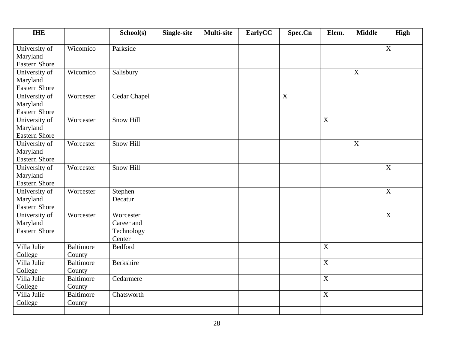| <b>THE</b>                                        |                            | School(s)                                       | <b>Single-site</b> | <b>Multi-site</b> | EarlyCC | Spec.Cn     | Elem.          | <b>Middle</b>  | <b>High</b>               |
|---------------------------------------------------|----------------------------|-------------------------------------------------|--------------------|-------------------|---------|-------------|----------------|----------------|---------------------------|
| University of<br>Maryland<br><b>Eastern Shore</b> | Wicomico                   | Parkside                                        |                    |                   |         |             |                |                | $\boldsymbol{\mathrm{X}}$ |
| University of<br>Maryland<br><b>Eastern Shore</b> | Wicomico                   | Salisbury                                       |                    |                   |         |             |                | X              |                           |
| University of<br>Maryland<br><b>Eastern Shore</b> | Worcester                  | Cedar Chapel                                    |                    |                   |         | $\mathbf X$ |                |                |                           |
| University of<br>Maryland<br><b>Eastern Shore</b> | Worcester                  | <b>Snow Hill</b>                                |                    |                   |         |             | $\mathbf X$    |                |                           |
| University of<br>Maryland<br><b>Eastern Shore</b> | Worcester                  | <b>Snow Hill</b>                                |                    |                   |         |             |                | $\overline{X}$ |                           |
| University of<br>Maryland<br><b>Eastern Shore</b> | Worcester                  | <b>Snow Hill</b>                                |                    |                   |         |             |                |                | X                         |
| University of<br>Maryland<br><b>Eastern Shore</b> | Worcester                  | Stephen<br>Decatur                              |                    |                   |         |             |                |                | $\boldsymbol{\mathrm{X}}$ |
| University of<br>Maryland<br><b>Eastern Shore</b> | Worcester                  | Worcester<br>Career and<br>Technology<br>Center |                    |                   |         |             |                |                | $\boldsymbol{\mathrm{X}}$ |
| Villa Julie<br>College                            | <b>Baltimore</b><br>County | <b>Bedford</b>                                  |                    |                   |         |             | $\overline{X}$ |                |                           |
| Villa Julie<br>College                            | <b>Baltimore</b><br>County | <b>Berkshire</b>                                |                    |                   |         |             | X              |                |                           |
| Villa Julie<br>College                            | <b>Baltimore</b><br>County | Cedarmere                                       |                    |                   |         |             | $\overline{X}$ |                |                           |
| Villa Julie<br>College                            | <b>Baltimore</b><br>County | Chatsworth                                      |                    |                   |         |             | $\mathbf X$    |                |                           |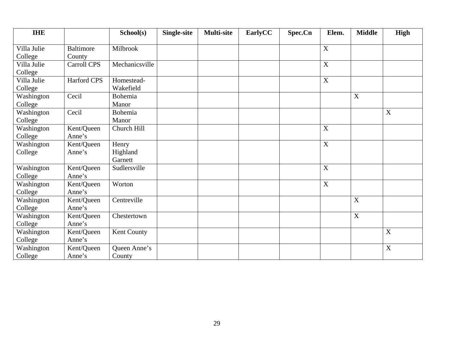| <b>IHE</b>  |                  | School(s)          | Single-site | <b>Multi-site</b> | EarlyCC | Spec.Cn | Elem.                     | <b>Middle</b> | <b>High</b> |
|-------------|------------------|--------------------|-------------|-------------------|---------|---------|---------------------------|---------------|-------------|
|             |                  |                    |             |                   |         |         |                           |               |             |
| Villa Julie | <b>Baltimore</b> | Milbrook           |             |                   |         |         | X                         |               |             |
| College     | County           |                    |             |                   |         |         |                           |               |             |
| Villa Julie | Carroll CPS      | Mechanicsville     |             |                   |         |         | $\mathbf X$               |               |             |
| College     |                  |                    |             |                   |         |         |                           |               |             |
| Villa Julie | Harford CPS      | Homestead-         |             |                   |         |         | $\boldsymbol{\mathrm{X}}$ |               |             |
| College     |                  | Wakefield          |             |                   |         |         |                           |               |             |
| Washington  | Cecil            | Bohemia            |             |                   |         |         |                           | X             |             |
| College     |                  | Manor              |             |                   |         |         |                           |               |             |
| Washington  | Cecil            | Bohemia            |             |                   |         |         |                           |               | X           |
| College     |                  | Manor              |             |                   |         |         |                           |               |             |
| Washington  | Kent/Queen       | Church Hill        |             |                   |         |         | $\boldsymbol{\mathrm{X}}$ |               |             |
| College     | Anne's           |                    |             |                   |         |         |                           |               |             |
| Washington  | Kent/Queen       | Henry              |             |                   |         |         | $\mathbf X$               |               |             |
| College     | Anne's           | Highland           |             |                   |         |         |                           |               |             |
|             |                  | Garnett            |             |                   |         |         |                           |               |             |
| Washington  | Kent/Queen       | Sudlersville       |             |                   |         |         | $\mathbf X$               |               |             |
| College     | Anne's           |                    |             |                   |         |         |                           |               |             |
| Washington  | Kent/Queen       | Worton             |             |                   |         |         | $\mathbf X$               |               |             |
| College     | Anne's           |                    |             |                   |         |         |                           |               |             |
| Washington  | Kent/Queen       | Centreville        |             |                   |         |         |                           | X             |             |
| College     | Anne's           |                    |             |                   |         |         |                           |               |             |
| Washington  | Kent/Queen       | Chestertown        |             |                   |         |         |                           | X             |             |
| College     | Anne's           |                    |             |                   |         |         |                           |               |             |
| Washington  | Kent/Queen       | <b>Kent County</b> |             |                   |         |         |                           |               | X           |
| College     | Anne's           |                    |             |                   |         |         |                           |               |             |
| Washington  | Kent/Queen       | Queen Anne's       |             |                   |         |         |                           |               | X           |
| College     | Anne's           | County             |             |                   |         |         |                           |               |             |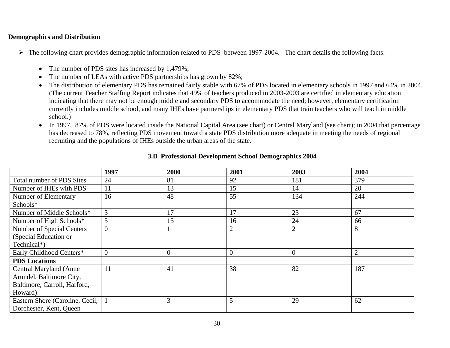### **Demographics and Distribution**

- ¾ The following chart provides demographic information related to PDS between 1997-2004. The chart details the following facts:
	- •The number of PDS sites has increased by 1,479%;
	- •The number of LEAs with active PDS partnerships has grown by 82%;
	- $\bullet$  The distribution of elementary PDS has remained fairly stable with 67% of PDS located in elementary schools in 1997 and 64% in 2004. (The current Teacher Staffing Report indicates that 49% of teachers produced in 2003-2003 are certified in elementary education indicating that there may not be enough middle and secondary PDS to accommodate the need; however, elementary certification currently includes middle school, and many IHEs have partnerships in elementary PDS that train teachers who will teach in middle school.)
	- $\bullet$  In 1997, 87% of PDS were located inside the National Capital Area (see chart) or Central Maryland (see chart); in 2004 that percentage has decreased to 78%, reflecting PDS movement toward a state PDS distribution more adequate in meeting the needs of regional recruiting and the populations of IHEs outside the urban areas of the state.

|                                 | 1997         | 2000           | 2001           | 2003           | 2004           |
|---------------------------------|--------------|----------------|----------------|----------------|----------------|
| Total number of PDS Sites       | 24           | 81             | 92             | 181            | 379            |
| Number of IHEs with PDS         | 11           | 13             | 15             | 14             | 20             |
| Number of Elementary            | 16           | 48             | 55             | 134            | 244            |
| Schools*                        |              |                |                |                |                |
| Number of Middle Schools*       | 3            | 17             | 17             | 23             | 67             |
| Number of High Schools*         | 5            | 15             | 16             | 24             | 66             |
| Number of Special Centers       | $\Omega$     |                | $\overline{2}$ | $\overline{2}$ | 8              |
| (Special Education or           |              |                |                |                |                |
| Technical*)                     |              |                |                |                |                |
| Early Childhood Centers*        | $\mathbf{0}$ | $\overline{0}$ |                | $\overline{0}$ | $\overline{2}$ |
| <b>PDS</b> Locations            |              |                |                |                |                |
| <b>Central Maryland (Anne</b>   | 11           | 41             | 38             | 82             | 187            |
| Arundel, Baltimore City,        |              |                |                |                |                |
| Baltimore, Carroll, Harford,    |              |                |                |                |                |
| Howard)                         |              |                |                |                |                |
| Eastern Shore (Caroline, Cecil, |              | 3              | 5              | 29             | 62             |
| Dorchester, Kent, Queen         |              |                |                |                |                |

### **3.B Professional Development School Demographics 2004**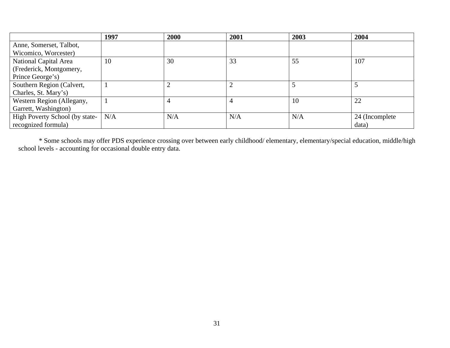|                                | 1997 | 2000 | 2001 | 2003 | 2004            |
|--------------------------------|------|------|------|------|-----------------|
| Anne, Somerset, Talbot,        |      |      |      |      |                 |
| Wicomico, Worcester)           |      |      |      |      |                 |
| National Capital Area          | 10   | 30   | 33   | 55   | 107             |
| (Frederick, Montgomery,        |      |      |      |      |                 |
| Prince George's)               |      |      |      |      |                 |
| Southern Region (Calvert,      |      |      |      |      |                 |
| Charles, St. Mary's)           |      |      |      |      |                 |
| Western Region (Allegany,      |      |      |      | 10   | 22              |
| Garrett, Washington)           |      |      |      |      |                 |
| High Poverty School (by state- | N/A  | N/A  | N/A  | N/A  | 24 (Incomplete) |
| recognized formula)            |      |      |      |      | data)           |

\* Some schools may offer PDS experience crossing over between early childhood/ elementary, elementary/special education, middle/high school levels - accounting for occasional double entry data.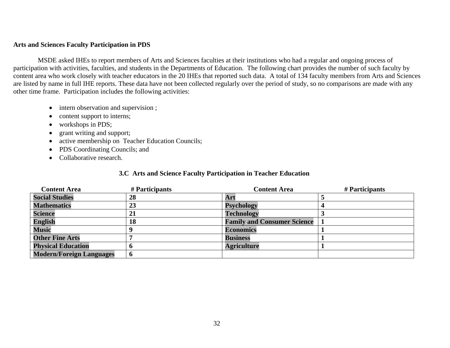### **Arts and Sciences Faculty Participation in PDS**

 MSDE asked IHEs to report members of Arts and Sciences faculties at their institutions who had a regular and ongoing process of participation with activities, faculties, and students in the Departments of Education. The following chart provides the number of such faculty by content area who work closely with teacher educators in the 20 IHEs that reported such data. A total of 134 faculty members from Arts and Sciences are listed by name in full IHE reports. These data have not been collected regularly over the period of study, so no comparisons are made with any other time frame. Participation includes the following activities:

- intern observation and supervision ;
- content support to interns;
- $\bullet$ workshops in PDS;
- $\bullet$ grant writing and support;
- •active membership on Teacher Education Councils;
- PDS Coordinating Councils; and
- Collaborative research.

### **3.C Arts and Science Faculty Participation in Teacher Education**

| <b>Content Area</b>             | # Participants | <b>Content Area</b>                | # Participants |
|---------------------------------|----------------|------------------------------------|----------------|
| <b>Social Studies</b>           | 28             | Art                                |                |
| <b>Mathematics</b>              | 23             | <b>Psychology</b>                  |                |
| <b>Science</b>                  | 21             | <b>Technology</b>                  |                |
| <b>English</b>                  | 18             | <b>Family and Consumer Science</b> |                |
| <b>Music</b>                    |                | <b>Economics</b>                   |                |
| <b>Other Fine Arts</b>          |                | <b>Business</b>                    |                |
| <b>Physical Education</b>       |                | <b>Agriculture</b>                 |                |
| <b>Modern/Foreign Languages</b> |                |                                    |                |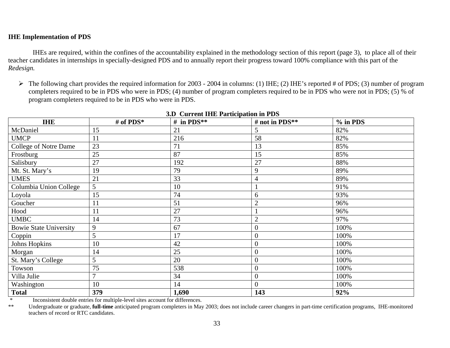### **IHE Implementation of PDS**

 IHEs are required, within the confines of the accountability explained in the methodology section of this report (page 3), to place all of their teacher candidates in internships in specially-designed PDS and to annually report their progress toward 100% compliance with this part of the *Redesign.* 

 $\triangleright$  The following chart provides the required information for 2003 - 2004 in columns: (1) IHE; (2) IHE's reported # of PDS; (3) number of program completers required to be in PDS who were in PDS; (4) number of program completers required to be in PDS who were not in PDS; (5) % of program completers required to be in PDS who were in PDS.

| <b>IHE</b>                    | # of PDS*      | # in PDS** | # not in PDS**   | % in PDS |
|-------------------------------|----------------|------------|------------------|----------|
| McDaniel                      | 15             | 21         | 5                | 82%      |
| <b>UMCP</b>                   | 11             | 216        | 58               | 82%      |
| College of Notre Dame         | 23             | 71         | 13               | 85%      |
| Frostburg                     | 25             | 87         | 15               | 85%      |
| Salisbury                     | 27             | 192        | 27               | 88%      |
| Mt. St. Mary's                | 19             | 79         | 9                | 89%      |
| <b>UMES</b>                   | 21             | 33         |                  | 89%      |
| Columbia Union College        | 5              | 10         |                  | 91%      |
| Loyola                        | 15             | 74         | 6                | 93%      |
| Goucher                       | 11             | 51         | $\overline{2}$   | 96%      |
| Hood                          | 11             | 27         |                  | 96%      |
| <b>UMBC</b>                   | 14             | 73         | $\overline{2}$   | 97%      |
| <b>Bowie State University</b> | 9              | 67         | $\overline{0}$   | 100%     |
| Coppin                        | 5              | 17         | $\overline{0}$   | 100%     |
| <b>Johns Hopkins</b>          | 10             | 42         | $\overline{0}$   | 100%     |
| Morgan                        | 14             | 25         | $\boldsymbol{0}$ | 100%     |
| St. Mary's College            | 5              | 20         | $\overline{0}$   | 100%     |
| Towson                        | 75             | 538        | $\overline{0}$   | 100%     |
| Villa Julie                   | $\overline{7}$ | 34         | $\overline{0}$   | 100%     |
| Washington                    | 10             | 14         | $\overline{0}$   | 100%     |
| <b>Total</b>                  | 379            | 1,690      | 143              | 92%      |

### **3.D Current IHE Participation in PDS**

\* Inconsistent double entries for multiple-level sites account for differences.

\*\* Undergraduate or graduate, **full-time** anticipated program completers in May 2003; does not include career changers in part-time certification programs, IHE-monitored teachers of record or RTC candidates.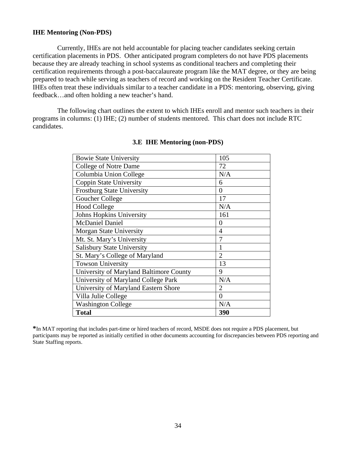### **IHE Mentoring (Non-PDS)**

 Currently, IHEs are not held accountable for placing teacher candidates seeking certain certification placements in PDS. Other anticipated program completers do not have PDS placements because they are already teaching in school systems as conditional teachers and completing their certification requirements through a post-baccalaureate program like the MAT degree, or they are being prepared to teach while serving as teachers of record and working on the Resident Teacher Certificate. IHEs often treat these individuals similar to a teacher candidate in a PDS: mentoring, observing, giving feedback…and often holding a new teacher's hand.

 The following chart outlines the extent to which IHEs enroll and mentor such teachers in their programs in columns: (1) IHE; (2) number of students mentored. This chart does not include RTC candidates.

| <b>Bowie State University</b>           | 105            |
|-----------------------------------------|----------------|
| <b>College of Notre Dame</b>            | 72             |
| Columbia Union College                  | N/A            |
| <b>Coppin State University</b>          | 6              |
| <b>Frostburg State University</b>       | $\theta$       |
| Goucher College                         | 17             |
| <b>Hood College</b>                     | N/A            |
| Johns Hopkins University                | 161            |
| <b>McDaniel Daniel</b>                  | $\theta$       |
| Morgan State University                 | 4              |
| Mt. St. Mary's University               | 7              |
| <b>Salisbury State University</b>       | 1              |
| St. Mary's College of Maryland          | $\overline{2}$ |
| <b>Towson University</b>                | 13             |
| University of Maryland Baltimore County | 9              |
| University of Maryland College Park     | N/A            |
| University of Maryland Eastern Shore    | 2              |
| Villa Julie College                     | $\theta$       |
| <b>Washington College</b>               | N/A            |
| <b>Total</b>                            | 390            |

### **3.E IHE Mentoring (non-PDS)**

**\***In MAT reporting that includes part-time or hired teachers of record, MSDE does not require a PDS placement, but participants may be reported as initially certified in other documents accounting for discrepancies between PDS reporting and State Staffing reports.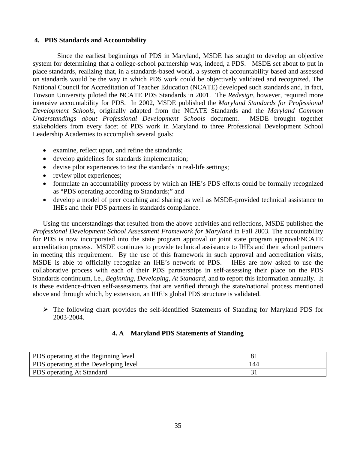### **4. PDS Standards and Accountability**

Since the earliest beginnings of PDS in Maryland, MSDE has sought to develop an objective system for determining that a college-school partnership was, indeed, a PDS. MSDE set about to put in place standards, realizing that, in a standards-based world, a system of accountability based and assessed on standards would be the way in which PDS work could be objectively validated and recognized. The National Council for Accreditation of Teacher Education (NCATE) developed such standards and, in fact, Towson University piloted the NCATE PDS Standards in 2001. The *Redesign*, however, required more intensive accountability for PDS. In 2002, MSDE published the *Maryland Standards for Professional Development Schools*, originally adapted from the NCATE Standards and the *Maryland Common Understandings about Professional Development Schools* document. MSDE brought together stakeholders from every facet of PDS work in Maryland to three Professional Development School Leadership Academies to accomplish several goals:

- examine, reflect upon, and refine the standards;
- develop guidelines for standards implementation;
- devise pilot experiences to test the standards in real-life settings;
- review pilot experiences;
- formulate an accountability process by which an IHE's PDS efforts could be formally recognized as "PDS operating according to Standards;" and
- develop a model of peer coaching and sharing as well as MSDE-provided technical assistance to IHEs and their PDS partners in standards compliance.

Using the understandings that resulted from the above activities and reflections, MSDE published the *Professional Development School Assessment Framework for Maryland* in Fall 2003. The accountability for PDS is now incorporated into the state program approval or joint state program approval/NCATE accreditation process. MSDE continues to provide technical assistance to IHEs and their school partners in meeting this requirement. By the use of this framework in such approval and accreditation visits, MSDE is able to officially recognize an IHE's network of PDS. IHEs are now asked to use the collaborative process with each of their PDS partnerships in self-assessing their place on the PDS Standards continuum, i.e., *Beginning, Developing, At Standard,* and to report this information annually. It is these evidence-driven self-assessments that are verified through the state/national process mentioned above and through which, by extension, an IHE's global PDS structure is validated.

 $\triangleright$  The following chart provides the self-identified Statements of Standing for Maryland PDS for 2003-2004.

### **4. A Maryland PDS Statements of Standing**

| <b>PDS</b> operating at the Beginning level  |     |
|----------------------------------------------|-----|
| <b>PDS</b> operating at the Developing level | 144 |
| <b>PDS</b> operating At Standard             |     |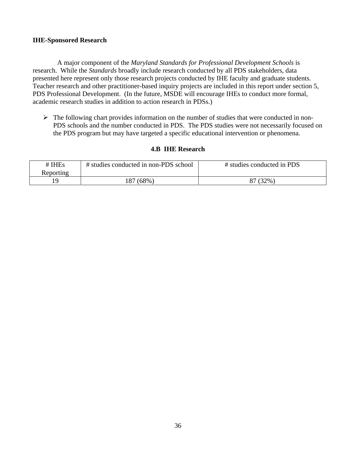### **IHE-Sponsored Research**

 A major component of the *Maryland Standards for Professional Development Schools* is research. While the *Standards* broadly include research conducted by all PDS stakeholders, data presented here represent only those research projects conducted by IHE faculty and graduate students. Teacher research and other practitioner-based inquiry projects are included in this report under section 5, PDS Professional Development. (In the future, MSDE will encourage IHEs to conduct more formal, academic research studies in addition to action research in PDSs.)

 $\triangleright$  The following chart provides information on the number of studies that were conducted in non-PDS schools and the number conducted in PDS. The PDS studies were not necessarily focused on the PDS program but may have targeted a specific educational intervention or phenomena.

| $#$ IHEs  | # studies conducted in non-PDS school | # studies conducted in PDS |
|-----------|---------------------------------------|----------------------------|
| Reporting |                                       |                            |
|           | (68%)                                 | 87 (32%)                   |

### **4.B IHE Research**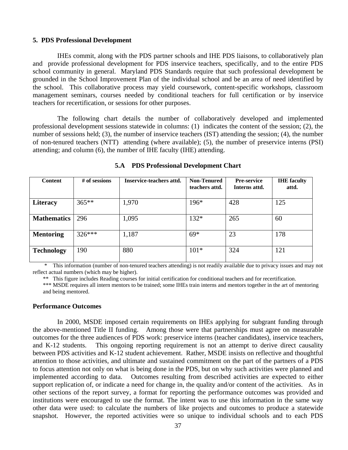#### **5. PDS Professional Development**

 IHEs commit, along with the PDS partner schools and IHE PDS liaisons, to collaboratively plan and provide professional development for PDS inservice teachers, specifically, and to the entire PDS school community in general. Maryland PDS Standards require that such professional development be grounded in the School Improvement Plan of the individual school and be an area of need identified by the school. This collaborative process may yield coursework, content-specific workshops, classroom management seminars, courses needed by conditional teachers for full certification or by inservice teachers for recertification, or sessions for other purposes.

 The following chart details the number of collaboratively developed and implemented professional development sessions statewide in columns: (1) indicates the content of the session; (2), the number of sessions held; (3), the number of inservice teachers (IST) attending the session; (4), the number of non-tenured teachers (NTT) attending (where available); (5), the number of preservice interns (PSI) attending; and column (6), the number of IHE faculty (IHE) attending.

| <b>Content</b>     | # of sessions | Inservice-teachers attd. | <b>Non-Tenured</b><br>teachers attd. | <b>Pre-service</b><br>Interns attd. | <b>IHE</b> faculty<br>attd. |
|--------------------|---------------|--------------------------|--------------------------------------|-------------------------------------|-----------------------------|
| <b>Literacy</b>    | $365**$       | 1,970                    | 196*                                 | 428                                 | 125                         |
| <b>Mathematics</b> | 296           | 1,095                    | $132*$                               | 265                                 | 60                          |
| <b>Mentoring</b>   | $326***$      | 1,187                    | $69*$                                | 23                                  | 178                         |
| <b>Technology</b>  | 190           | 880                      | $101*$                               | 324                                 | 121                         |

**5.A PDS Professional Development Chart** 

This information (number of non-tenured teachers attending) is not readily available due to privacy issues and may not reflect actual numbers (which may be higher).

\*\* This figure includes Reading courses for initial certification for conditional teachers and for recertification.

\*\*\* MSDE requires all intern mentors to be trained; some IHEs train interns and mentors together in the art of mentoring and being mentored.

#### **Performance Outcomes**

 In 2000, MSDE imposed certain requirements on IHEs applying for subgrant funding through the above-mentioned Title II funding. Among those were that partnerships must agree on measurable outcomes for the three audiences of PDS work: preservice interns (teacher candidates), inservice teachers, and K-12 students. This ongoing reporting requirement is not an attempt to derive direct causality between PDS activities and K-12 student achievement. Rather, MSDE insists on reflective and thoughtful attention to those activities, and ultimate and sustained commitment on the part of the partners of a PDS to focus attention not only on what is being done in the PDS, but on why such activities were planned and implemented according to data. Outcomes resulting from described activities are expected to either support replication of, or indicate a need for change in, the quality and/or content of the activities. As in other sections of the report survey, a format for reporting the performance outcomes was provided and institutions were encouraged to use the format. The intent was to use this information in the same way other data were used: to calculate the numbers of like projects and outcomes to produce a statewide snapshot. However, the reported activities were so unique to individual schools and to each PDS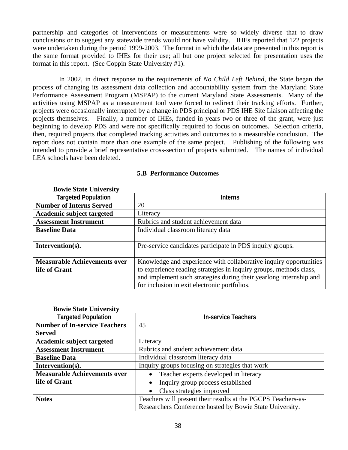partnership and categories of interventions or measurements were so widely diverse that to draw conclusions or to suggest any statewide trends would not have validity. IHEs reported that 122 projects were undertaken during the period 1999-2003. The format in which the data are presented in this report is the same format provided to IHEs for their use; all but one project selected for presentation uses the format in this report. (See Coppin State University #1).

 In 2002, in direct response to the requirements of *No Child Left Behind*, the State began the process of changing its assessment data collection and accountability system from the Maryland State Performance Assessment Program (MSPAP) to the current Maryland State Assessments. Many of the activities using MSPAP as a measurement tool were forced to redirect their tracking efforts. Further, projects were occasionally interrupted by a change in PDS principal or PDS IHE Site Liaison affecting the projects themselves. Finally, a number of IHEs, funded in years two or three of the grant, were just beginning to develop PDS and were not specifically required to focus on outcomes. Selection criteria, then, required projects that completed tracking activities and outcomes to a measurable conclusion. The report does not contain more than one example of the same project. Publishing of the following was intended to provide a brief representative cross-section of projects submitted. The names of individual LEA schools have been deleted.

| <b>Bowie State University</b>       |                                                                    |
|-------------------------------------|--------------------------------------------------------------------|
| <b>Targeted Population</b>          | <b>Interns</b>                                                     |
| <b>Number of Interns Served</b>     | 20                                                                 |
| Academic subject targeted           | Literacy                                                           |
| <b>Assessment Instrument</b>        | Rubrics and student achievement data                               |
| <b>Baseline Data</b>                | Individual classroom literacy data                                 |
|                                     |                                                                    |
| Intervention(s).                    | Pre-service candidates participate in PDS inquiry groups.          |
|                                     |                                                                    |
| <b>Measurable Achievements over</b> | Knowledge and experience with collaborative inquiry opportunities  |
| life of Grant                       | to experience reading strategies in inquiry groups, methods class, |
|                                     | and implement such strategies during their yearlong internship and |
|                                     | for inclusion in exit electronic portfolios.                       |

### **5.B Performance Outcomes**

|  |  | <b>Bowie State University</b> |
|--|--|-------------------------------|
|--|--|-------------------------------|

| <b>Targeted Population</b>           | <b>In-service Teachers</b>                                    |  |
|--------------------------------------|---------------------------------------------------------------|--|
| <b>Number of In-service Teachers</b> | 45                                                            |  |
| <b>Served</b>                        |                                                               |  |
| Academic subject targeted            | Literacy                                                      |  |
| <b>Assessment Instrument</b>         | Rubrics and student achievement data                          |  |
| <b>Baseline Data</b>                 | Individual classroom literacy data                            |  |
| Intervention(s).                     | Inquiry groups focusing on strategies that work               |  |
| <b>Measurable Achievements over</b>  | Teacher experts developed in literacy<br>$\bullet$            |  |
| life of Grant                        | Inquiry group process established<br>$\bullet$                |  |
|                                      | Class strategies improved<br>$\bullet$                        |  |
| <b>Notes</b>                         | Teachers will present their results at the PGCPS Teachers-as- |  |
|                                      | Researchers Conference hosted by Bowie State University.      |  |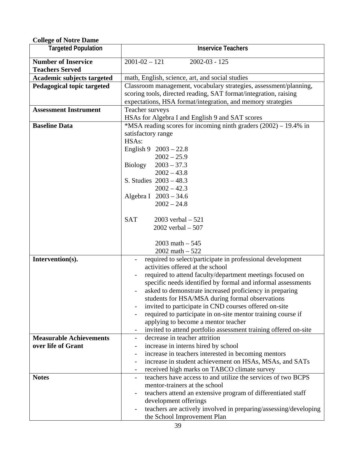| CONGC OF FOULT D'AINE          |                                                                     |  |
|--------------------------------|---------------------------------------------------------------------|--|
| <b>Targeted Population</b>     | <b>Inservice Teachers</b>                                           |  |
| <b>Number of Inservice</b>     | $2001 - 02 - 121$<br>$2002 - 03 - 125$                              |  |
| <b>Teachers Served</b>         |                                                                     |  |
| Academic subjects targeted     | math, English, science, art, and social studies                     |  |
| Pedagogical topic targeted     | Classroom management, vocabulary strategies, assessment/planning,   |  |
|                                | scoring tools, directed reading, SAT format/integration, raising    |  |
|                                |                                                                     |  |
|                                | expectations, HSA format/integration, and memory strategies         |  |
| <b>Assessment Instrument</b>   | Teacher surveys                                                     |  |
|                                | HSAs for Algebra I and English 9 and SAT scores                     |  |
| <b>Baseline Data</b>           | *MSA reading scores for incoming ninth graders $(2002) - 19.4\%$ in |  |
|                                | satisfactory range                                                  |  |
|                                | HSAs:                                                               |  |
|                                | English 9 $2003 - 22.8$                                             |  |
|                                | $2002 - 25.9$                                                       |  |
|                                | <b>Biology</b><br>$2003 - 37.3$                                     |  |
|                                | $2002 - 43.8$                                                       |  |
|                                | S. Studies $2003 - 48.3$                                            |  |
|                                | $2002 - 42.3$                                                       |  |
|                                | Algebra I 2003 - 34.6                                               |  |
|                                | $2002 - 24.8$                                                       |  |
|                                |                                                                     |  |
|                                | <b>SAT</b><br>2003 verbal $-521$                                    |  |
|                                | 2002 verbal $-507$                                                  |  |
|                                |                                                                     |  |
|                                | 2003 math $-545$                                                    |  |
|                                | 2002 math $-522$                                                    |  |
| Intervention(s).               | required to select/participate in professional development          |  |
|                                | activities offered at the school                                    |  |
|                                | required to attend faculty/department meetings focused on           |  |
|                                | specific needs identified by formal and informal assessments        |  |
|                                | asked to demonstrate increased proficiency in preparing             |  |
|                                | students for HSA/MSA during formal observations                     |  |
|                                | invited to participate in CND courses offered on-site               |  |
|                                | required to participate in on-site mentor training course if        |  |
|                                | applying to become a mentor teacher                                 |  |
|                                | invited to attend portfolio assessment training offered on-site     |  |
| <b>Measurable Achievements</b> | decrease in teacher attrition                                       |  |
| over life of Grant             | increase in interns hired by school                                 |  |
|                                | increase in teachers interested in becoming mentors                 |  |
|                                | increase in student achievement on HSAs, MSAs, and SATs             |  |
|                                | received high marks on TABCO climate survey                         |  |
| <b>Notes</b>                   | teachers have access to and utilize the services of two BCPS        |  |
|                                | mentor-trainers at the school                                       |  |
|                                | teachers attend an extensive program of differentiated staff        |  |
|                                | development offerings                                               |  |
|                                | teachers are actively involved in preparing/assessing/developing    |  |
|                                | the School Improvement Plan                                         |  |
|                                |                                                                     |  |

**College of Notre Dame**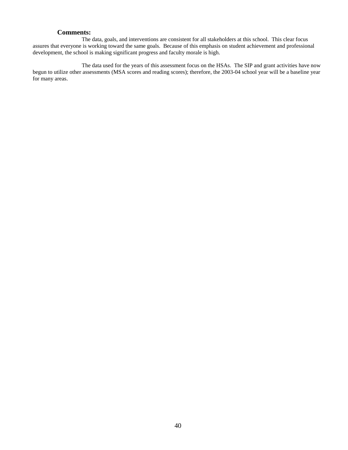#### **Comments:**

 The data, goals, and interventions are consistent for all stakeholders at this school. This clear focus assures that everyone is working toward the same goals. Because of this emphasis on student achievement and professional development, the school is making significant progress and faculty morale is high.

 The data used for the years of this assessment focus on the HSAs. The SIP and grant activities have now begun to utilize other assessments (MSA scores and reading scores); therefore, the 2003-04 school year will be a baseline year for many areas.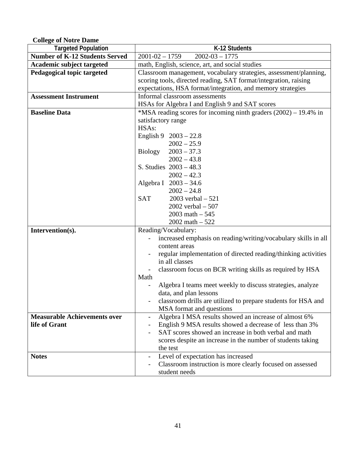**College of Notre Dame** 

| <b>Targeted Population</b>            | K-12 Students                                                                    |  |
|---------------------------------------|----------------------------------------------------------------------------------|--|
| <b>Number of K-12 Students Served</b> | $2001 - 02 - 1759$<br>$2002 - 03 - 1775$                                         |  |
| Academic subject targeted             | math, English, science, art, and social studies                                  |  |
| Pedagogical topic targeted            | Classroom management, vocabulary strategies, assessment/planning,                |  |
|                                       | scoring tools, directed reading, SAT format/integration, raising                 |  |
|                                       | expectations, HSA format/integration, and memory strategies                      |  |
| <b>Assessment Instrument</b>          | Informal classroom assessments                                                   |  |
|                                       | HSAs for Algebra I and English 9 and SAT scores                                  |  |
| <b>Baseline Data</b>                  | *MSA reading scores for incoming ninth graders (2002) – 19.4% in                 |  |
|                                       | satisfactory range                                                               |  |
|                                       | HSAs:                                                                            |  |
|                                       | English 9 $2003 - 22.8$                                                          |  |
|                                       | $2002 - 25.9$                                                                    |  |
|                                       | Biology<br>$2003 - 37.3$                                                         |  |
|                                       | $2002 - 43.8$                                                                    |  |
|                                       | S. Studies $2003 - 48.3$                                                         |  |
|                                       | $2002 - 42.3$                                                                    |  |
|                                       | Algebra I 2003 - 34.6                                                            |  |
|                                       | $2002 - 24.8$                                                                    |  |
|                                       | <b>SAT</b><br>$2003$ verbal $-521$                                               |  |
|                                       | 2002 verbal $-507$                                                               |  |
|                                       | $2003$ math $-545$                                                               |  |
|                                       | 2002 math $-522$                                                                 |  |
| Intervention(s).                      | Reading/Vocabulary:                                                              |  |
|                                       | increased emphasis on reading/writing/vocabulary skills in all                   |  |
|                                       | content areas                                                                    |  |
|                                       | regular implementation of directed reading/thinking activities<br>in all classes |  |
|                                       | classroom focus on BCR writing skills as required by HSA                         |  |
|                                       | Math                                                                             |  |
|                                       | Algebra I teams meet weekly to discuss strategies, analyze                       |  |
|                                       | data, and plan lessons                                                           |  |
|                                       | classroom drills are utilized to prepare students for HSA and                    |  |
|                                       | MSA format and questions                                                         |  |
| <b>Measurable Achievements over</b>   | Algebra I MSA results showed an increase of almost 6%                            |  |
| life of Grant                         | English 9 MSA results showed a decrease of less than 3%                          |  |
|                                       | SAT scores showed an increase in both verbal and math                            |  |
|                                       | scores despite an increase in the number of students taking                      |  |
|                                       | the test                                                                         |  |
| <b>Notes</b>                          | Level of expectation has increased                                               |  |
|                                       | Classroom instruction is more clearly focused on assessed                        |  |
|                                       | student needs                                                                    |  |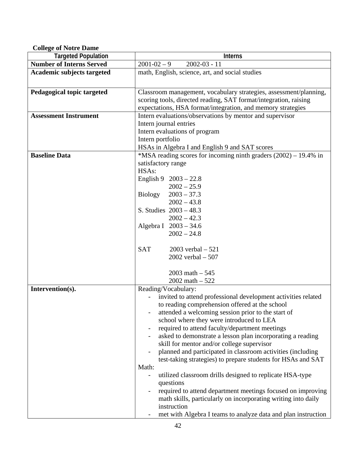**College of Notre Dame** 

| <b>Targeted Population</b>        | <b>Interns</b>                                                                                                                                                                                                                                                                                                                                                                                                                                                                                                                                                                                                                                                                                                                                                                                                                          |  |
|-----------------------------------|-----------------------------------------------------------------------------------------------------------------------------------------------------------------------------------------------------------------------------------------------------------------------------------------------------------------------------------------------------------------------------------------------------------------------------------------------------------------------------------------------------------------------------------------------------------------------------------------------------------------------------------------------------------------------------------------------------------------------------------------------------------------------------------------------------------------------------------------|--|
| <b>Number of Interns Served</b>   | $2001 - 02 - 9$<br>$2002 - 03 - 11$                                                                                                                                                                                                                                                                                                                                                                                                                                                                                                                                                                                                                                                                                                                                                                                                     |  |
| <b>Academic subjects targeted</b> | math, English, science, art, and social studies                                                                                                                                                                                                                                                                                                                                                                                                                                                                                                                                                                                                                                                                                                                                                                                         |  |
| Pedagogical topic targeted        | Classroom management, vocabulary strategies, assessment/planning,<br>scoring tools, directed reading, SAT format/integration, raising<br>expectations, HSA format/integration, and memory strategies                                                                                                                                                                                                                                                                                                                                                                                                                                                                                                                                                                                                                                    |  |
| <b>Assessment Instrument</b>      | Intern evaluations/observations by mentor and supervisor<br>Intern journal entries<br>Intern evaluations of program<br>Intern portfolio<br>HSAs in Algebra I and English 9 and SAT scores                                                                                                                                                                                                                                                                                                                                                                                                                                                                                                                                                                                                                                               |  |
| <b>Baseline Data</b>              | *MSA reading scores for incoming ninth graders (2002) – 19.4% in<br>satisfactory range<br>HSAs:<br>English $9 \quad 2003 - 22.8$<br>$2002 - 25.9$<br>Biology<br>$2003 - 37.3$<br>$2002 - 43.8$<br>S. Studies $2003 - 48.3$<br>$2002 - 42.3$<br>Algebra I 2003 - 34.6<br>$2002 - 24.8$<br><b>SAT</b><br>2003 verbal $-521$<br>2002 verbal $-507$<br>2003 math $-545$<br>2002 math $-522$                                                                                                                                                                                                                                                                                                                                                                                                                                                 |  |
| Intervention(s).                  | Reading/Vocabulary:<br>invited to attend professional development activities related<br>to reading comprehension offered at the school<br>attended a welcoming session prior to the start of<br>school where they were introduced to LEA<br>required to attend faculty/department meetings<br>asked to demonstrate a lesson plan incorporating a reading<br>skill for mentor and/or college supervisor<br>planned and participated in classroom activities (including<br>test-taking strategies) to prepare students for HSAs and SAT<br>Math:<br>utilized classroom drills designed to replicate HSA-type<br>questions<br>required to attend department meetings focused on improving<br>math skills, particularly on incorporating writing into daily<br>instruction<br>met with Algebra I teams to analyze data and plan instruction |  |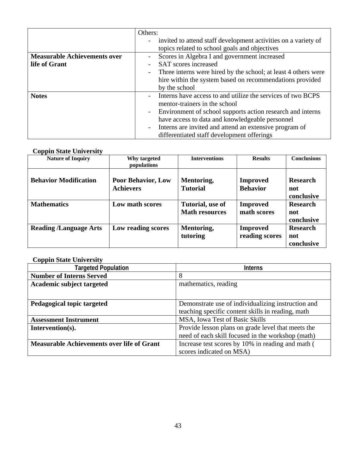|                                     | Others:                                                          |
|-------------------------------------|------------------------------------------------------------------|
|                                     | - invited to attend staff development activities on a variety of |
|                                     | topics related to school goals and objectives                    |
| <b>Measurable Achievements over</b> | Scores in Algebra I and government increased                     |
| life of Grant                       | <b>SAT</b> scores increased                                      |
|                                     | Three interns were hired by the school; at least 4 others were   |
|                                     | hire within the system based on recommendations provided         |
|                                     | by the school                                                    |
| <b>Notes</b>                        | Interns have access to and utilize the services of two BCPS      |
|                                     | mentor-trainers in the school                                    |
|                                     | Environment of school supports action research and interns       |
|                                     | have access to data and knowledgeable personnel                  |
|                                     | Interns are invited and attend an extensive program of           |
|                                     | differentiated staff development offerings                       |

### **Coppin State University**

| <b>Nature of Inquiry</b>      | Why targeted<br>populations                   | <b>Interventions</b>                      | <b>Results</b>                     | <b>Conclusions</b>                   |
|-------------------------------|-----------------------------------------------|-------------------------------------------|------------------------------------|--------------------------------------|
| <b>Behavior Modification</b>  | <b>Poor Behavior, Low</b><br><b>Achievers</b> | Mentoring,<br><b>Tutorial</b>             | <b>Improved</b><br><b>Behavior</b> | <b>Research</b><br>not<br>conclusive |
| <b>Mathematics</b>            | Low math scores                               | Tutorial, use of<br><b>Math resources</b> | <b>Improved</b><br>math scores     | <b>Research</b><br>not<br>conclusive |
| <b>Reading /Language Arts</b> | Low reading scores                            | Mentoring,<br>tutoring                    | <b>Improved</b><br>reading scores  | <b>Research</b><br>not<br>conclusive |

## **Coppin State University**

| <b>Targeted Population</b>                        | <b>Interns</b>                                     |  |
|---------------------------------------------------|----------------------------------------------------|--|
| <b>Number of Interns Served</b>                   | 8                                                  |  |
| <b>Academic subject targeted</b>                  | mathematics, reading                               |  |
|                                                   |                                                    |  |
| Pedagogical topic targeted                        | Demonstrate use of individualizing instruction and |  |
|                                                   | teaching specific content skills in reading, math  |  |
| <b>Assessment Instrument</b>                      | MSA, Iowa Test of Basic Skills                     |  |
| Intervention(s).                                  | Provide lesson plans on grade level that meets the |  |
|                                                   | need of each skill focused in the workshop (math)  |  |
| <b>Measurable Achievements over life of Grant</b> | Increase test scores by 10% in reading and math (  |  |
|                                                   | scores indicated on MSA)                           |  |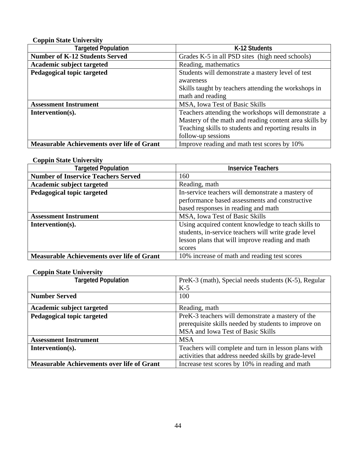## **Coppin State University**

| <b>Targeted Population</b>                        | K-12 Students                                          |  |
|---------------------------------------------------|--------------------------------------------------------|--|
| <b>Number of K-12 Students Served</b>             | Grades K-5 in all PSD sites (high need schools)        |  |
| <b>Academic subject targeted</b>                  | Reading, mathematics                                   |  |
| Pedagogical topic targeted                        | Students will demonstrate a mastery level of test      |  |
|                                                   | awareness                                              |  |
|                                                   | Skills taught by teachers attending the workshops in   |  |
|                                                   | math and reading                                       |  |
| <b>Assessment Instrument</b>                      | MSA, Iowa Test of Basic Skills                         |  |
| Intervention(s).                                  | Teachers attending the workshops will demonstrate a    |  |
|                                                   | Mastery of the math and reading content area skills by |  |
|                                                   | Teaching skills to students and reporting results in   |  |
|                                                   | follow-up sessions                                     |  |
| <b>Measurable Achievements over life of Grant</b> | Improve reading and math test scores by 10%            |  |

### **Coppin State University**

| <b>Targeted Population</b>                        | <b>Inservice Teachers</b>                                                                                                                                                |
|---------------------------------------------------|--------------------------------------------------------------------------------------------------------------------------------------------------------------------------|
| <b>Number of Inservice Teachers Served</b>        | 160                                                                                                                                                                      |
| Academic subject targeted                         | Reading, math                                                                                                                                                            |
| Pedagogical topic targeted                        | In-service teachers will demonstrate a mastery of                                                                                                                        |
|                                                   | performance based assessments and constructive                                                                                                                           |
|                                                   | based responses in reading and math                                                                                                                                      |
| <b>Assessment Instrument</b>                      | MSA, Iowa Test of Basic Skills                                                                                                                                           |
| Intervention(s).                                  | Using acquired content knowledge to teach skills to<br>students, in-service teachers will write grade level<br>lesson plans that will improve reading and math<br>scores |
| <b>Measurable Achievements over life of Grant</b> | 10% increase of math and reading test scores                                                                                                                             |

## **Coppin State University**

| <b>Targeted Population</b>                        | PreK-3 (math), Special needs students (K-5), Regular |  |
|---------------------------------------------------|------------------------------------------------------|--|
|                                                   | $K-5$                                                |  |
| <b>Number Served</b>                              | 100                                                  |  |
| Academic subject targeted                         | Reading, math                                        |  |
| Pedagogical topic targeted                        | PreK-3 teachers will demonstrate a mastery of the    |  |
|                                                   | prerequisite skills needed by students to improve on |  |
|                                                   | MSA and Iowa Test of Basic Skills                    |  |
| <b>Assessment Instrument</b>                      | <b>MSA</b>                                           |  |
| Intervention(s).                                  | Teachers will complete and turn in lesson plans with |  |
|                                                   | activities that address needed skills by grade-level |  |
| <b>Measurable Achievements over life of Grant</b> | Increase test scores by 10% in reading and math      |  |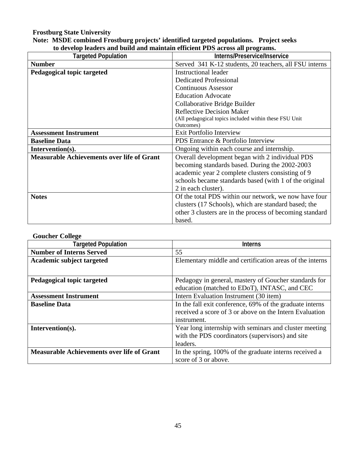# **Frostburg State University**

## **Note: MSDE combined Frostburg projects' identified targeted populations. Project seeks to develop leaders and build and maintain efficient PDS across all programs.**

| <b>Targeted Population</b>                        | Interns/Preservice/Inservice                             |  |
|---------------------------------------------------|----------------------------------------------------------|--|
| <b>Number</b>                                     | Served 341 K-12 students, 20 teachers, all FSU interns   |  |
| Pedagogical topic targeted                        | <b>Instructional leader</b>                              |  |
|                                                   | <b>Dedicated Professional</b>                            |  |
|                                                   | <b>Continuous Assessor</b>                               |  |
|                                                   | <b>Education Advocate</b>                                |  |
|                                                   | Collaborative Bridge Builder                             |  |
|                                                   | <b>Reflective Decision Maker</b>                         |  |
|                                                   | (All pedagogical topics included within these FSU Unit   |  |
|                                                   | Outcomes)                                                |  |
| <b>Assessment Instrument</b>                      | <b>Exit Portfolio Interview</b>                          |  |
| <b>Baseline Data</b>                              | PDS Entrance & Portfolio Interview                       |  |
| Intervention(s).                                  | Ongoing within each course and internship.               |  |
| <b>Measurable Achievements over life of Grant</b> | Overall development began with 2 individual PDS          |  |
|                                                   | becoming standards based. During the 2002-2003           |  |
|                                                   | academic year 2 complete clusters consisting of 9        |  |
|                                                   | schools became standards based (with 1 of the original   |  |
|                                                   | 2 in each cluster).                                      |  |
| <b>Notes</b>                                      | Of the total PDS within our network, we now have four    |  |
|                                                   | clusters (17 Schools), which are standard based; the     |  |
|                                                   | other 3 clusters are in the process of becoming standard |  |
|                                                   | based.                                                   |  |

### **Goucher College**

| <b>Targeted Population</b>                        | <b>Interns</b>                                           |
|---------------------------------------------------|----------------------------------------------------------|
| <b>Number of Interns Served</b>                   | 55                                                       |
| Academic subject targeted                         | Elementary middle and certification areas of the interns |
|                                                   |                                                          |
| Pedagogical topic targeted                        | Pedagogy in general, mastery of Goucher standards for    |
|                                                   | education (matched to EDoT), INTASC, and CEC             |
| <b>Assessment Instrument</b>                      | Intern Evaluation Instrument (30 item)                   |
| <b>Baseline Data</b>                              | In the fall exit conference, 69% of the graduate interns |
|                                                   | received a score of 3 or above on the Intern Evaluation  |
|                                                   | instrument.                                              |
| Intervention(s).                                  | Year long internship with seminars and cluster meeting   |
|                                                   | with the PDS coordinators (supervisors) and site         |
|                                                   | leaders.                                                 |
| <b>Measurable Achievements over life of Grant</b> | In the spring, 100% of the graduate interns received a   |
|                                                   | score of 3 or above.                                     |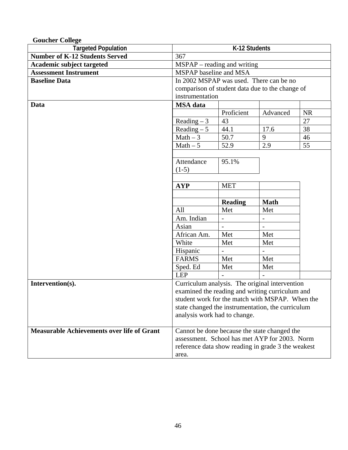| <b>Goucher College</b>                            |                                                    |                          |                          |           |
|---------------------------------------------------|----------------------------------------------------|--------------------------|--------------------------|-----------|
| <b>Targeted Population</b>                        | K-12 Students                                      |                          |                          |           |
| <b>Number of K-12 Students Served</b>             | 367                                                |                          |                          |           |
| Academic subject targeted                         | $MSPAP - reading$ and writing                      |                          |                          |           |
| <b>Assessment Instrument</b>                      | MSPAP baseline and MSA                             |                          |                          |           |
| <b>Baseline Data</b>                              | In 2002 MSPAP was used. There can be no            |                          |                          |           |
|                                                   | comparison of student data due to the change of    |                          |                          |           |
|                                                   | instrumentation                                    |                          |                          |           |
| Data                                              | <b>MSA</b> data                                    |                          |                          |           |
|                                                   |                                                    | Proficient               | Advanced                 | <b>NR</b> |
|                                                   | Reading $-3$                                       | 43                       |                          | 27        |
|                                                   | Reading $-5$                                       | 44.1                     | 17.6                     | 38        |
|                                                   | $Math-3$                                           | 50.7                     | 9                        | 46        |
|                                                   | $Math-5$                                           | 52.9                     | 2.9                      | 55        |
|                                                   |                                                    |                          |                          |           |
|                                                   | Attendance                                         | 95.1%                    |                          |           |
|                                                   | $(1-5)$                                            |                          |                          |           |
|                                                   |                                                    |                          |                          |           |
|                                                   | <b>MET</b><br><b>AYP</b>                           |                          |                          |           |
|                                                   |                                                    |                          |                          |           |
|                                                   |                                                    |                          |                          |           |
|                                                   |                                                    | <b>Reading</b>           | <b>Math</b>              |           |
|                                                   | All                                                | Met                      | Met                      |           |
|                                                   | Am. Indian                                         | $\overline{\phantom{a}}$ | $\overline{\phantom{a}}$ |           |
|                                                   | Asian                                              |                          |                          |           |
|                                                   | African Am.                                        | Met                      | Met                      |           |
|                                                   | White                                              | Met                      | Met                      |           |
|                                                   | Hispanic                                           |                          |                          |           |
|                                                   | <b>FARMS</b>                                       | Met                      | Met                      |           |
|                                                   | Sped. Ed                                           | Met                      | Met                      |           |
|                                                   | <b>LEP</b>                                         |                          |                          |           |
| Intervention(s).                                  | Curriculum analysis. The original intervention     |                          |                          |           |
|                                                   | examined the reading and writing curriculum and    |                          |                          |           |
|                                                   | student work for the match with MSPAP. When the    |                          |                          |           |
|                                                   | state changed the instrumentation, the curriculum  |                          |                          |           |
|                                                   | analysis work had to change.                       |                          |                          |           |
|                                                   |                                                    |                          |                          |           |
| <b>Measurable Achievements over life of Grant</b> | Cannot be done because the state changed the       |                          |                          |           |
|                                                   | assessment. School has met AYP for 2003. Norm      |                          |                          |           |
|                                                   | reference data show reading in grade 3 the weakest |                          |                          |           |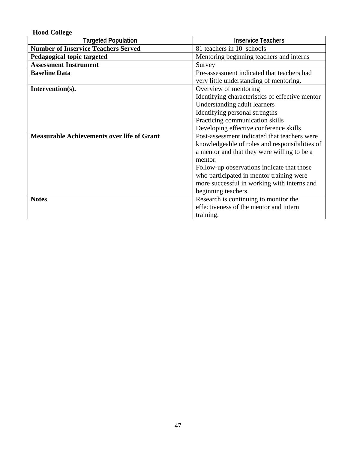| <b>Hood College</b>                               |                                                 |
|---------------------------------------------------|-------------------------------------------------|
| <b>Targeted Population</b>                        | <b>Inservice Teachers</b>                       |
| <b>Number of Inservice Teachers Served</b>        | 81 teachers in 10 schools                       |
| Pedagogical topic targeted                        | Mentoring beginning teachers and interns        |
| <b>Assessment Instrument</b>                      | Survey                                          |
| <b>Baseline Data</b>                              | Pre-assessment indicated that teachers had      |
|                                                   | very little understanding of mentoring.         |
| Intervention(s).                                  | Overview of mentoring                           |
|                                                   | Identifying characteristics of effective mentor |
|                                                   | Understanding adult learners                    |
|                                                   | Identifying personal strengths                  |
|                                                   | Practicing communication skills                 |
|                                                   | Developing effective conference skills          |
| <b>Measurable Achievements over life of Grant</b> | Post-assessment indicated that teachers were    |
|                                                   | knowledgeable of roles and responsibilities of  |
|                                                   | a mentor and that they were willing to be a     |
|                                                   | mentor.                                         |
|                                                   | Follow-up observations indicate that those      |
|                                                   | who participated in mentor training were        |
|                                                   | more successful in working with interns and     |
|                                                   | beginning teachers.                             |
| <b>Notes</b>                                      | Research is continuing to monitor the           |
|                                                   | effectiveness of the mentor and intern          |
|                                                   | training.                                       |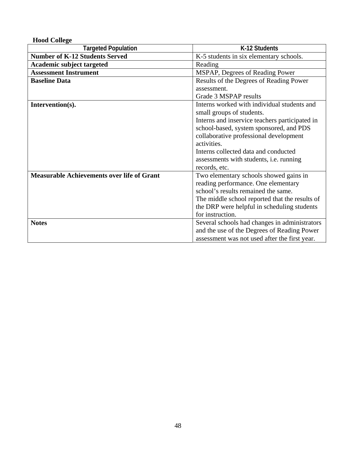| <b>Hood College</b>                               |                                                |
|---------------------------------------------------|------------------------------------------------|
| <b>Targeted Population</b>                        | K-12 Students                                  |
| <b>Number of K-12 Students Served</b>             | K-5 students in six elementary schools.        |
| <b>Academic subject targeted</b>                  | Reading                                        |
| <b>Assessment Instrument</b>                      | MSPAP, Degrees of Reading Power                |
| <b>Baseline Data</b>                              | Results of the Degrees of Reading Power        |
|                                                   | assessment.                                    |
|                                                   | Grade 3 MSPAP results                          |
| Intervention(s).                                  | Interns worked with individual students and    |
|                                                   | small groups of students.                      |
|                                                   | Interns and inservice teachers participated in |
|                                                   | school-based, system sponsored, and PDS        |
|                                                   | collaborative professional development         |
|                                                   | activities.                                    |
|                                                   | Interns collected data and conducted           |
|                                                   | assessments with students, <i>i.e.</i> running |
|                                                   | records, etc.                                  |
| <b>Measurable Achievements over life of Grant</b> | Two elementary schools showed gains in         |
|                                                   | reading performance. One elementary            |
|                                                   | school's results remained the same.            |
|                                                   | The middle school reported that the results of |
|                                                   | the DRP were helpful in scheduling students    |
|                                                   | for instruction.                               |
| <b>Notes</b>                                      | Several schools had changes in administrators  |
|                                                   | and the use of the Degrees of Reading Power    |
|                                                   | assessment was not used after the first year.  |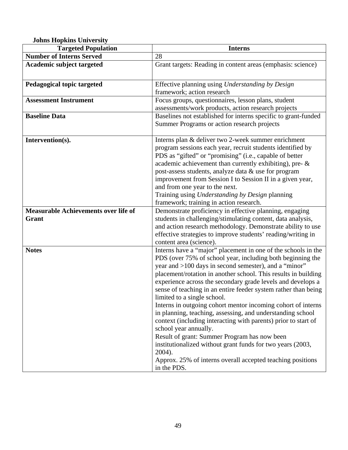**Johns Hopkins University** 

| Johns Hopkins Chrycisic<br><b>Targeted Population</b> | <b>Interns</b>                                                                                                                                                                                                                                                                                                                                                                                                                                                                                                                                                                                                                                                                                                                                                                                                                                       |
|-------------------------------------------------------|------------------------------------------------------------------------------------------------------------------------------------------------------------------------------------------------------------------------------------------------------------------------------------------------------------------------------------------------------------------------------------------------------------------------------------------------------------------------------------------------------------------------------------------------------------------------------------------------------------------------------------------------------------------------------------------------------------------------------------------------------------------------------------------------------------------------------------------------------|
| <b>Number of Interns Served</b>                       | 28                                                                                                                                                                                                                                                                                                                                                                                                                                                                                                                                                                                                                                                                                                                                                                                                                                                   |
| <b>Academic subject targeted</b>                      | Grant targets: Reading in content areas (emphasis: science)                                                                                                                                                                                                                                                                                                                                                                                                                                                                                                                                                                                                                                                                                                                                                                                          |
| Pedagogical topic targeted                            | Effective planning using Understanding by Design<br>framework; action research                                                                                                                                                                                                                                                                                                                                                                                                                                                                                                                                                                                                                                                                                                                                                                       |
| <b>Assessment Instrument</b>                          | Focus groups, questionnaires, lesson plans, student<br>assessments/work products, action research projects                                                                                                                                                                                                                                                                                                                                                                                                                                                                                                                                                                                                                                                                                                                                           |
| <b>Baseline Data</b>                                  | Baselines not established for interns specific to grant-funded<br>Summer Programs or action research projects                                                                                                                                                                                                                                                                                                                                                                                                                                                                                                                                                                                                                                                                                                                                        |
| Intervention(s).                                      | Interns plan & deliver two 2-week summer enrichment<br>program sessions each year, recruit students identified by<br>PDS as "gifted" or "promising" (i.e., capable of better<br>academic achievement than currently exhibiting), pre- &<br>post-assess students, analyze data & use for program<br>improvement from Session I to Session II in a given year,<br>and from one year to the next.<br>Training using Understanding by Design planning<br>framework; training in action research.                                                                                                                                                                                                                                                                                                                                                         |
| <b>Measurable Achievements over life of</b><br>Grant  | Demonstrate proficiency in effective planning, engaging<br>students in challenging/stimulating content, data analysis,<br>and action research methodology. Demonstrate ability to use<br>effective strategies to improve students' reading/writing in<br>content area (science).                                                                                                                                                                                                                                                                                                                                                                                                                                                                                                                                                                     |
| <b>Notes</b>                                          | Interns have a "major" placement in one of the schools in the<br>PDS (over 75% of school year, including both beginning the<br>year and >100 days in second semester), and a "minor"<br>placement/rotation in another school. This results in building<br>experience across the secondary grade levels and develops a<br>sense of teaching in an entire feeder system rather than being<br>limited to a single school.<br>Interns in outgoing cohort mentor incoming cohort of interns<br>in planning, teaching, assessing, and understanding school<br>context (including interacting with parents) prior to start of<br>school year annually.<br>Result of grant: Summer Program has now been<br>institutionalized without grant funds for two years (2003,<br>2004).<br>Approx. 25% of interns overall accepted teaching positions<br>in the PDS. |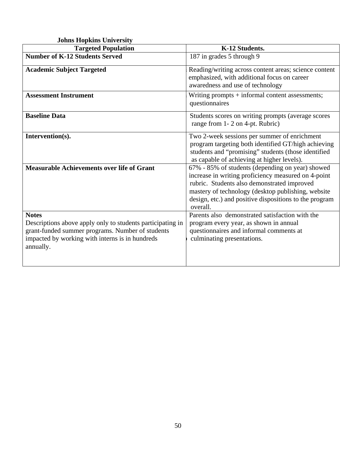| <b>Johns Hopkins University</b>                                                                                                                                                                |                                                                                                                                                                                                                                                                                    |
|------------------------------------------------------------------------------------------------------------------------------------------------------------------------------------------------|------------------------------------------------------------------------------------------------------------------------------------------------------------------------------------------------------------------------------------------------------------------------------------|
| <b>Targeted Population</b>                                                                                                                                                                     | K-12 Students.                                                                                                                                                                                                                                                                     |
| <b>Number of K-12 Students Served</b>                                                                                                                                                          | 187 in grades 5 through 9                                                                                                                                                                                                                                                          |
| <b>Academic Subject Targeted</b>                                                                                                                                                               | Reading/writing across content areas; science content<br>emphasized, with additional focus on career<br>awaredness and use of technology                                                                                                                                           |
| <b>Assessment Instrument</b>                                                                                                                                                                   | Writing prompts + informal content assessments;<br>questionnaires                                                                                                                                                                                                                  |
| <b>Baseline Data</b>                                                                                                                                                                           | Students scores on writing prompts (average scores<br>range from 1-2 on 4-pt. Rubric)                                                                                                                                                                                              |
| Intervention(s).                                                                                                                                                                               | Two 2-week sessions per summer of enrichment<br>program targeting both identified GT/high achieving<br>students and "promising" students (those identified<br>as capable of achieving at higher levels).                                                                           |
| <b>Measurable Achievements over life of Grant</b>                                                                                                                                              | 67% - 85% of students (depending on year) showed<br>increase in writing proficiency measured on 4-point<br>rubric. Students also demonstrated improved<br>mastery of technology (desktop publishing, website<br>design, etc.) and positive dispositions to the program<br>overall. |
| <b>Notes</b><br>Descriptions above apply only to students participating in<br>grant-funded summer programs. Number of students<br>impacted by working with interns is in hundreds<br>annually. | Parents also demonstrated satisfaction with the<br>program every year, as shown in annual<br>questionnaires and informal comments at<br>culminating presentations.                                                                                                                 |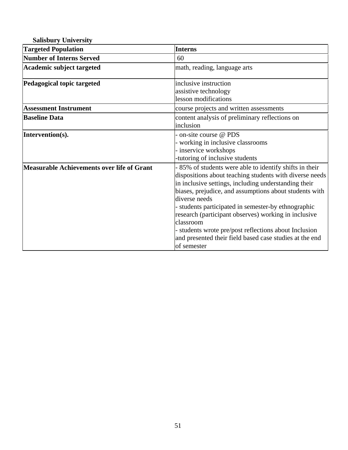| <b>Salisbury University</b>                |                                                                                                                                                                                                                                                                                                                                                                                                                                                                                                                      |
|--------------------------------------------|----------------------------------------------------------------------------------------------------------------------------------------------------------------------------------------------------------------------------------------------------------------------------------------------------------------------------------------------------------------------------------------------------------------------------------------------------------------------------------------------------------------------|
| <b>Targeted Population</b>                 | <b>Interns</b>                                                                                                                                                                                                                                                                                                                                                                                                                                                                                                       |
| <b>Number of Interns Served</b>            | 60                                                                                                                                                                                                                                                                                                                                                                                                                                                                                                                   |
| Academic subject targeted                  | math, reading, language arts                                                                                                                                                                                                                                                                                                                                                                                                                                                                                         |
| Pedagogical topic targeted                 | inclusive instruction<br>assistive technology<br>lesson modifications                                                                                                                                                                                                                                                                                                                                                                                                                                                |
| <b>Assessment Instrument</b>               | course projects and written assessments                                                                                                                                                                                                                                                                                                                                                                                                                                                                              |
| <b>Baseline Data</b>                       | content analysis of preliminary reflections on<br>inclusion                                                                                                                                                                                                                                                                                                                                                                                                                                                          |
| Intervention(s).                           | - on-site course @ PDS<br>- working in inclusive classrooms<br>- inservice workshops<br>-tutoring of inclusive students                                                                                                                                                                                                                                                                                                                                                                                              |
| Measurable Achievements over life of Grant | - 85% of students were able to identify shifts in their<br>dispositions about teaching students with diverse needs<br>in inclusive settings, including understanding their<br>biases, prejudice, and assumptions about students with<br>diverse needs<br>- students participated in semester-by ethnographic<br>research (participant observes) working in inclusive<br>classroom<br>- students wrote pre/post reflections about Inclusion<br>and presented their field based case studies at the end<br>of semester |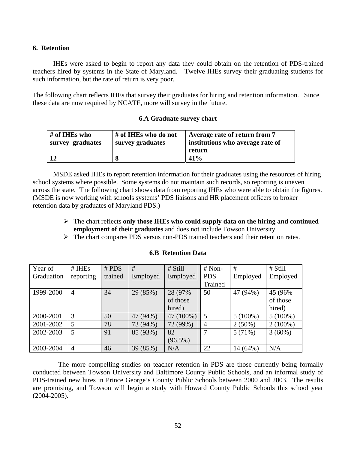### **6. Retention**

IHEs were asked to begin to report any data they could obtain on the retention of PDS-trained teachers hired by systems in the State of Maryland. Twelve IHEs survey their graduating students for such information, but the rate of return is very poor.

The following chart reflects IHEs that survey their graduates for hiring and retention information. Since these data are now required by NCATE, more will survey in the future.

### **6.A Graduate survey chart**

| # of IHEs who<br>survey graduates | # of IHEs who do not<br>survey graduates | Average rate of return from 7<br>institutions who average rate of |  |
|-----------------------------------|------------------------------------------|-------------------------------------------------------------------|--|
|                                   |                                          | return                                                            |  |
|                                   |                                          | 41%                                                               |  |

MSDE asked IHEs to report retention information for their graduates using the resources of hiring school systems where possible. Some systems do not maintain such records, so reporting is uneven across the state. The following chart shows data from reporting IHEs who were able to obtain the figures. (MSDE is now working with schools systems' PDS liaisons and HR placement officers to broker retention data by graduates of Maryland PDS.)

- ¾ The chart reflects **only those IHEs who could supply data on the hiring and continued employment of their graduates** and does not include Towson University.
- ¾ The chart compares PDS versus non-PDS trained teachers and their retention rates.

| Year of    | # IHEs         | # PDS   | #        | # Still    | $# Non-$       | #          | # Still    |
|------------|----------------|---------|----------|------------|----------------|------------|------------|
| Graduation | reporting      | trained | Employed | Employed   | <b>PDS</b>     | Employed   | Employed   |
|            |                |         |          |            | Trained        |            |            |
| 1999-2000  | $\overline{4}$ | 34      | 29 (85%) | 28 (97%)   | 50             | 47 (94%)   | 45 (96%)   |
|            |                |         |          | of those   |                |            | of those   |
|            |                |         |          | hired)     |                |            | hired)     |
| 2000-2001  | 3              | 50      | 47 (94%) | 47 (100%)  | 5              | $5(100\%)$ | $5(100\%)$ |
| 2001-2002  | 5              | 78      | 73 (94%) | 72 (99%)   | $\overline{4}$ | $2(50\%)$  | $2(100\%)$ |
| 2002-2003  | 5              | 91      | 85 (93%) | 82         | 7              | 5(71%)     | $3(60\%)$  |
|            |                |         |          | $(96.5\%)$ |                |            |            |
| 2003-2004  | $\overline{4}$ | 46      | 39 (85%) | N/A        | 22             | 14 (64%)   | N/A        |

### **6.B Retention Data**

 The more compelling studies on teacher retention in PDS are those currently being formally conducted between Towson University and Baltimore County Public Schools, and an informal study of PDS-trained new hires in Prince George's County Public Schools between 2000 and 2003. The results are promising, and Towson will begin a study with Howard County Public Schools this school year (2004-2005).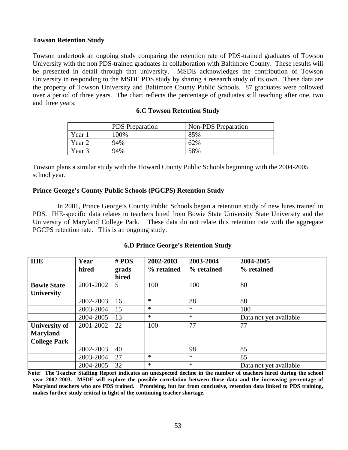### **Towson Retention Study**

Towson undertook an ongoing study comparing the retention rate of PDS-trained graduates of Towson University with the non PDS-trained graduates in collaboration with Baltimore County. These results will be presented in detail through that university. MSDE acknowledges the contribution of Towson University in responding to the MSDE PDS study by sharing a research study of its own. These data are the property of Towson University and Baltimore County Public Schools. 87 graduates were followed over a period of three years. The chart reflects the percentage of graduates still teaching after one, two and three years:

|        | <b>PDS</b> Preparation | <b>Non-PDS</b> Preparation |  |  |
|--------|------------------------|----------------------------|--|--|
| Year 1 | 100%                   | 85%                        |  |  |
| Year 2 | 94%                    | 62%                        |  |  |
| Year 3 | 94%                    | 58%                        |  |  |

### **6.C Towson Retention Study**

Towson plans a similar study with the Howard County Public Schools beginning with the 2004-2005 school year.

### **Prince George's County Public Schools (PGCPS) Retention Study**

In 2001, Prince George's County Public Schools began a retention study of new hires trained in PDS. IHE-specific data relates to teachers hired from Bowie State University State University and the University of Maryland College Park. These data do not relate this retention rate with the aggregate PGCPS retention rate. This is an ongoing study.

| <b>6.D Prince George's Retention Study</b> |  |
|--------------------------------------------|--|
|--------------------------------------------|--|

| <b>IHE</b>           | Year      | # PDS | 2002-2003  | 2003-2004  | 2004-2005              |
|----------------------|-----------|-------|------------|------------|------------------------|
|                      | hired     | grads | % retained | % retained | % retained             |
|                      |           | hired |            |            |                        |
| <b>Bowie State</b>   | 2001-2002 | 5     | 100        | 100        | 80                     |
| University           |           |       |            |            |                        |
|                      | 2002-2003 | 16    | $\ast$     | 88         | 88                     |
|                      | 2003-2004 | 15    | $\ast$     | *          | 100                    |
|                      | 2004-2005 | 13    | $\ast$     | $\ast$     | Data not yet available |
| <b>University of</b> | 2001-2002 | 22    | 100        | 77         | 77                     |
| <b>Maryland</b>      |           |       |            |            |                        |
| <b>College Park</b>  |           |       |            |            |                        |
|                      | 2002-2003 | 40    |            | 98         | 85                     |
|                      | 2003-2004 | 27    | $\ast$     | $\ast$     | 85                     |
|                      | 2004-2005 | 32    | $\ast$     | $\ast$     | Data not yet available |

**Note: The Teacher Staffing Report indicates an unexpected decline in the number of teachers hired during the school year 2002-2003. MSDE will explore the possible correlation between those data and the increasing percentage of Maryland teachers who are PDS trained. Promising, but far from conclusive, retention data linked to PDS training, makes further study critical in light of the continuing teacher shortage.**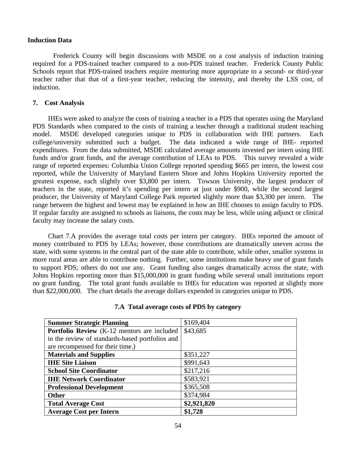### **Induction Data**

Frederick County will begin discussions with MSDE on a cost analysis of induction training required for a PDS-trained teacher compared to a non-PDS trained teacher. Frederick County Public Schools report that PDS-trained teachers require mentoring more appropriate to a second- or third-year teacher rather that that of a first-year teacher, reducing the intensity, and thereby the LSS cost, of induction.

### **7. Cost Analysis**

IHEs were asked to analyze the costs of training a teacher in a PDS that operates using the Maryland PDS Standards when compared to the costs of training a teacher through a traditional student teaching model. MSDE developed categories unique to PDS in collaboration with IHE partners. Each college/university submitted such a budget. The data indicated a wide range of IHE- reported expenditures. From the data submitted, MSDE calculated average amounts invested per intern using IHE funds and/or grant funds, and the average contribution of LEAs to PDS. This survey revealed a wide range of reported expenses: Columbia Union College reported spending \$665 per intern, the lowest cost reported, while the University of Maryland Eastern Shore and Johns Hopkins University reported the greatest expense, each slightly over \$3,800 per intern. Towson University, the largest producer of teachers in the state, reported it's spending per intern at just under \$900, while the second largest producer, the University of Maryland College Park reported slightly more than \$3,300 per intern. The range between the highest and lowest may be explained in how an IHE chooses to assign faculty to PDS. If regular faculty are assigned to schools as liaisons, the costs may be less, while using adjunct or clinical faculty may increase the salary costs.

Chart 7.A provides the average total costs per intern per category. IHEs reported the amount of money contributed to PDS by LEAs; however, those contributions are dramatically uneven across the state, with some systems in the central part of the state able to contribute, while other, smaller systems in more rural areas are able to contribute nothing. Further, some institutions make heavy use of grant funds to support PDS; others do not use any. Grant funding also ranges dramatically across the state, with Johns Hopkins reporting more than \$15,000,000 in grant funding while several small institutions report no grant funding. The total grant funds available to IHEs for education was reported at slightly more than \$22,000,000. The chart details the average dollars expended in categories unique to PDS.

| <b>Summer Strategic Planning</b>                   | \$169,404   |
|----------------------------------------------------|-------------|
| <b>Portfolio Review</b> (K-12 mentors are included | \$43,685    |
| in the review of standards-based portfolios and    |             |
| are recompensed for their time.)                   |             |
| <b>Materials and Supplies</b>                      | \$351,227   |
| <b>IHE Site Liaison</b>                            | \$991,643   |
| <b>School Site Coordinator</b>                     | \$217,216   |
| <b>IHE Network Coordinator</b>                     | \$583,921   |
| <b>Professional Development</b>                    | \$365,508   |
| <b>Other</b>                                       | \$374,984   |
| <b>Total Average Cost</b>                          | \$2,921,820 |
| <b>Average Cost per Intern</b>                     | \$1,728     |

### **7.A Total average costs of PDS by category**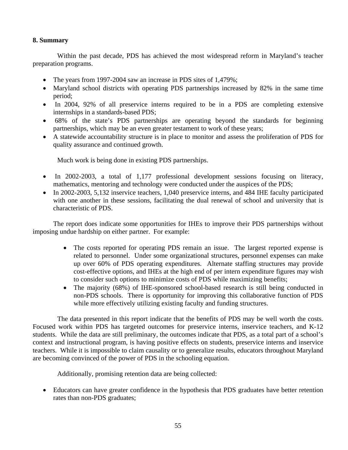### **8. Summary**

 Within the past decade, PDS has achieved the most widespread reform in Maryland's teacher preparation programs.

- The years from 1997-2004 saw an increase in PDS sites of 1,479%;
- Maryland school districts with operating PDS partnerships increased by 82% in the same time period;
- In 2004, 92% of all preservice interns required to be in a PDS are completing extensive internships in a standards-based PDS;
- 68% of the state's PDS partnerships are operating beyond the standards for beginning partnerships, which may be an even greater testament to work of these years;
- A statewide accountability structure is in place to monitor and assess the proliferation of PDS for quality assurance and continued growth.

Much work is being done in existing PDS partnerships.

- In 2002-2003, a total of 1,177 professional development sessions focusing on literacy, mathematics, mentoring and technology were conducted under the auspices of the PDS;
- In 2002-2003, 5,132 inservice teachers, 1,040 preservice interns, and 484 IHE faculty participated with one another in these sessions, facilitating the dual renewal of school and university that is characteristic of PDS.

The report does indicate some opportunities for IHEs to improve their PDS partnerships without imposing undue hardship on either partner. For example:

- The costs reported for operating PDS remain an issue. The largest reported expense is related to personnel. Under some organizational structures, personnel expenses can make up over 60% of PDS operating expenditures. Alternate staffing structures may provide cost-effective options, and IHEs at the high end of per intern expenditure figures may wish to consider such options to minimize costs of PDS while maximizing benefits;
- The majority (68%) of IHE-sponsored school-based research is still being conducted in non-PDS schools. There is opportunity for improving this collaborative function of PDS while more effectively utilizing existing faculty and funding structures.

 The data presented in this report indicate that the benefits of PDS may be well worth the costs. Focused work within PDS has targeted outcomes for preservice interns, inservice teachers, and K-12 students. While the data are still preliminary, the outcomes indicate that PDS, as a total part of a school's context and instructional program, is having positive effects on students, preservice interns and inservice teachers. While it is impossible to claim causality or to generalize results, educators throughout Maryland are becoming convinced of the power of PDS in the schooling equation.

Additionally, promising retention data are being collected:

• Educators can have greater confidence in the hypothesis that PDS graduates have better retention rates than non-PDS graduates;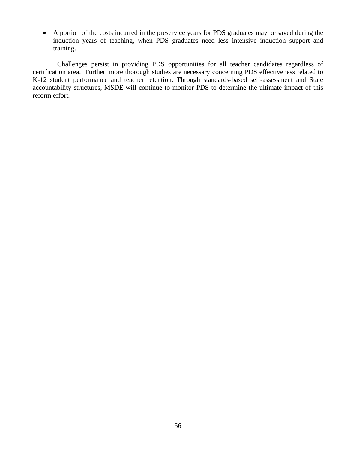• A portion of the costs incurred in the preservice years for PDS graduates may be saved during the induction years of teaching, when PDS graduates need less intensive induction support and training.

 Challenges persist in providing PDS opportunities for all teacher candidates regardless of certification area. Further, more thorough studies are necessary concerning PDS effectiveness related to K-12 student performance and teacher retention. Through standards-based self-assessment and State accountability structures, MSDE will continue to monitor PDS to determine the ultimate impact of this reform effort.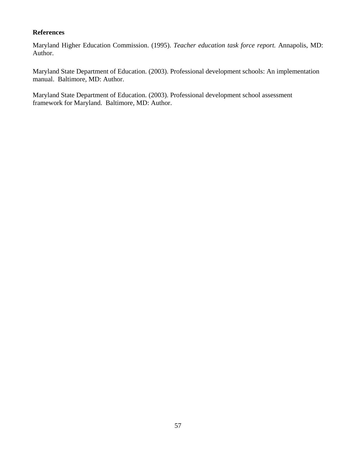## **References**

Maryland Higher Education Commission. (1995). *Teacher education task force report.* Annapolis, MD: Author.

Maryland State Department of Education. (2003). Professional development schools: An implementation manual. Baltimore, MD: Author.

Maryland State Department of Education. (2003). Professional development school assessment framework for Maryland. Baltimore, MD: Author.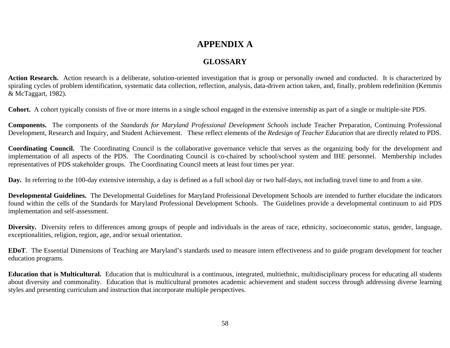# **APPENDIX A**

## **GLOSSARY**

**Action Research.** Action research is a deliberate, solution-oriented investigation that is group or personally owned and conducted. It is characterized by spiraling cycles of problem identification, systematic data collection, reflection, analysis, data-driven action taken, and, finally, problem redefinition (Kemmis & McTaggart, 1982).

**Cohort.** A cohort typically consists of five or more interns in a single school engaged in the extensive internship as part of a single or multiple-site PDS.

**Components.** The components of the *Standards for Maryland Professional Development Schools* include Teacher Preparation, Continuing Professional Development, Research and Inquiry, and Student Achievement. These reflect elements of the *Redesign of Teacher Education* that are directly related to PDS.

**Coordinating Council.** The Coordinating Council is the collaborative governance vehicle that serves as the organizing body for the development and implementation of all aspects of the PDS. The Coordinating Council is co-chaired by school/school system and IHE personnel. Membership includes representatives of PDS stakeholder groups. The Coordinating Council meets at least four times per year.

**Day.** In referring to the 100-day extensive internship, a day is defined as a full school day or two half-days, not including travel time to and from a site.

**Developmental Guidelines.** The Developmental Guidelines for Maryland Professional Development Schools are intended to further elucidate the indicators found within the cells of the Standards for Maryland Professional Development Schools. The Guidelines provide a developmental continuum to aid PDS implementation and self-assessment.

Diversity. Diversity refers to differences among groups of people and individuals in the areas of race, ethnicity, socioeconomic status, gender, language, exceptionalities, religion, region, age, and/or sexual orientation.

**EDoT**. The Essential Dimensions of Teaching are Maryland's standards used to measure intern effectiveness and to guide program development for teacher education programs.

**Education that is Multicultural.** Education that is multicultural is a continuous, integrated, multiethnic, multidisciplinary process for educating all students about diversity and commonality. Education that is multicultural promotes academic achievement and student success through addressing diverse learning styles and presenting curriculum and instruction that incorporate multiple perspectives.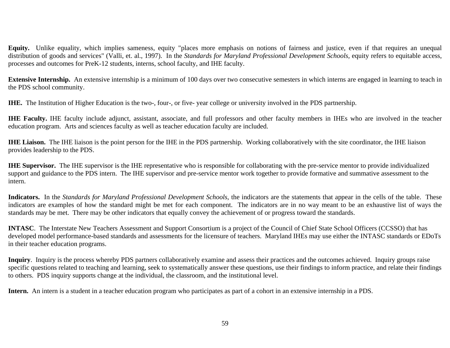**Equity.** Unlike equality, which implies sameness, equity "places more emphasis on notions of fairness and justice, even if that requires an unequal distribution of goods and services" (Valli, et. al., 1997). In the *Standards for Maryland Professional Development Schools*, equity refers to equitable access, processes and outcomes for PreK-12 students, interns, school faculty, and IHE faculty.

**Extensive Internship.** An extensive internship is a minimum of 100 days over two consecutive semesters in which interns are engaged in learning to teach in the PDS school community.

**IHE.** The Institution of Higher Education is the two-, four-, or five- year college or university involved in the PDS partnership.

**IHE Faculty.** IHE faculty include adjunct, assistant, associate, and full professors and other faculty members in IHEs who are involved in the teacher education program. Arts and sciences faculty as well as teacher education faculty are included.

**IHE Liaison.** The IHE liaison is the point person for the IHE in the PDS partnership. Working collaboratively with the site coordinator, the IHE liaison provides leadership to the PDS.

**IHE Supervisor.** The IHE supervisor is the IHE representative who is responsible for collaborating with the pre-service mentor to provide individualized support and guidance to the PDS intern. The IHE supervisor and pre-service mentor work together to provide formative and summative assessment to the intern.

**Indicators.** In the *Standards for Maryland Professional Development Schools*, the indicators are the statements that appear in the cells of the table. These indicators are examples of how the standard might be met for each component. The indicators are in no way meant to be an exhaustive list of ways the standards may be met. There may be other indicators that equally convey the achievement of or progress toward the standards.

**INTASC**. The Interstate New Teachers Assessment and Support Consortium is a project of the Council of Chief State School Officers (CCSSO) that has developed model performance-based standards and assessments for the licensure of teachers. Maryland IHEs may use either the INTASC standards or EDoTs in their teacher education programs.

**Inquiry**. Inquiry is the process whereby PDS partners collaboratively examine and assess their practices and the outcomes achieved. Inquiry groups raise specific questions related to teaching and learning, seek to systematically answer these questions, use their findings to inform practice, and relate their findings to others. PDS inquiry supports change at the individual, the classroom, and the institutional level.

**Intern.** An intern is a student in a teacher education program who participates as part of a cohort in an extensive internship in a PDS.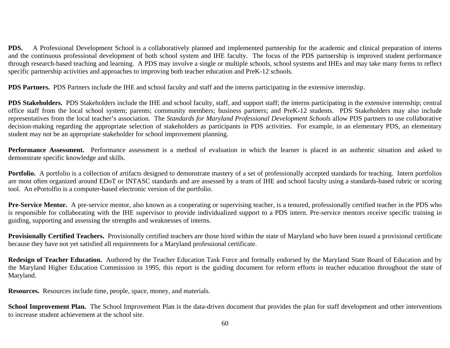**PDS.** A Professional Development School is a collaboratively planned and implemented partnership for the academic and clinical preparation of interns and the continuous professional development of both school system and IHE faculty. The focus of the PDS partnership is improved student performance through research-based teaching and learning. A PDS may involve a single or multiple schools, school systems and IHEs and may take many forms to reflect specific partnership activities and approaches to improving both teacher education and PreK-12 schools.

**PDS Partners.** PDS Partners include the IHE and school faculty and staff and the interns participating in the extensive internship.

**PDS Stakeholders.** PDS Stakeholders include the IHE and school faculty, staff, and support staff; the interns participating in the extensive internship; central office staff from the local school system; parents; community members; business partners; and PreK-12 students. PDS Stakeholders may also include representatives from the local teacher's association. The *Standards for Maryland Professional Development Schools* allow PDS partners to use collaborative decision-making regarding the appropriate selection of stakeholders as participants in PDS activities. For example, in an elementary PDS, an elementary student may not be an appropriate stakeholder for school improvement planning.

**Performance Assessment.** Performance assessment is a method of evaluation in which the learner is placed in an authentic situation and asked to demonstrate specific knowledge and skills.

**Portfolio.** A portfolio is a collection of artifacts designed to demonstrate mastery of a set of professionally accepted standards for teaching. Intern portfolios are most often organized around EDoT or INTASC standards and are assessed by a team of IHE and school faculty using a standards-based rubric or scoring tool. An ePortolfio is a computer-based electronic version of the portfolio.

**Pre-Service Mentor.** A pre-service mentor, also known as a cooperating or supervising teacher, is a tenured, professionally certified teacher in the PDS who is responsible for collaborating with the IHE supervisor to provide individualized support to a PDS intern. Pre-service mentors receive specific training in guiding, supporting and assessing the strengths and weaknesses of interns.

**Provisionally Certified Teachers.** Provisionally certified teachers are those hired within the state of Maryland who have been issued a provisional certificate because they have not yet satisfied all requirements for a Maryland professional certificate.

**Redesign of Teacher Education.** Authored by the Teacher Education Task Force and formally endorsed by the Maryland State Board of Education and by the Maryland Higher Education Commission in 1995, this report is the guiding document for reform efforts in teacher education throughout the state of Maryland.

**Resources.** Resources include time, people, space, money, and materials.

**School Improvement Plan.** The School Improvement Plan is the data-driven document that provides the plan for staff development and other interventions to increase student achievement at the school site.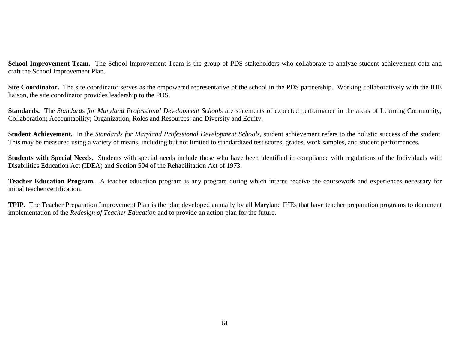School Improvement Team. The School Improvement Team is the group of PDS stakeholders who collaborate to analyze student achievement data and craft the School Improvement Plan.

Site Coordinator. The site coordinator serves as the empowered representative of the school in the PDS partnership. Working collaboratively with the IHE liaison, the site coordinator provides leadership to the PDS.

**Standards.** The *Standards for Maryland Professional Development Schools* are statements of expected performance in the areas of Learning Community; Collaboration; Accountability; Organization, Roles and Resources; and Diversity and Equity.

**Student Achievement.** In the *Standards for Maryland Professional Development Schools*, student achievement refers to the holistic success of the student. This may be measured using a variety of means, including but not limited to standardized test scores, grades, work samples, and student performances.

**Students with Special Needs.** Students with special needs include those who have been identified in compliance with regulations of the Individuals with Disabilities Education Act (IDEA) and Section 504 of the Rehabilitation Act of 1973.

**Teacher Education Program.** A teacher education program is any program during which interns receive the coursework and experiences necessary for initial teacher certification.

**TPIP.** The Teacher Preparation Improvement Plan is the plan developed annually by all Maryland IHEs that have teacher preparation programs to document implementation of the *Redesign of Teacher Education* and to provide an action plan for the future.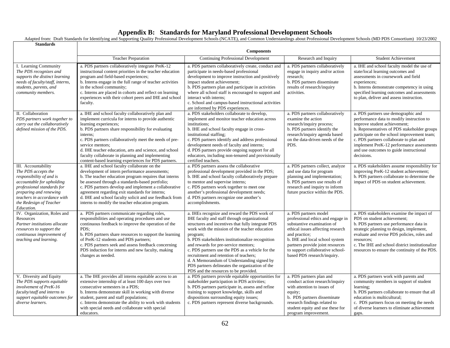## **Appendix B: Standards for Maryland Professional Development Schools**

|                                                                                                                                                                                                                                     | Adapted from: Draft Standards for Identifying and Supporting Quality Professional Development Schools (NCATE), and Common Understandings about Professional Development Schools (MD PDS Consortium) 10/23/2002                                                                                                                                                                                                                                             |                                                                                                                                                                                                                                                                                                                                                                                                                                                                                                                                                      |                                                                                                                                                                                                                                                                                         |                                                                                                                                                                                                                                                                                                                                                                  |
|-------------------------------------------------------------------------------------------------------------------------------------------------------------------------------------------------------------------------------------|------------------------------------------------------------------------------------------------------------------------------------------------------------------------------------------------------------------------------------------------------------------------------------------------------------------------------------------------------------------------------------------------------------------------------------------------------------|------------------------------------------------------------------------------------------------------------------------------------------------------------------------------------------------------------------------------------------------------------------------------------------------------------------------------------------------------------------------------------------------------------------------------------------------------------------------------------------------------------------------------------------------------|-----------------------------------------------------------------------------------------------------------------------------------------------------------------------------------------------------------------------------------------------------------------------------------------|------------------------------------------------------------------------------------------------------------------------------------------------------------------------------------------------------------------------------------------------------------------------------------------------------------------------------------------------------------------|
| <b>Standards</b>                                                                                                                                                                                                                    |                                                                                                                                                                                                                                                                                                                                                                                                                                                            |                                                                                                                                                                                                                                                                                                                                                                                                                                                                                                                                                      |                                                                                                                                                                                                                                                                                         |                                                                                                                                                                                                                                                                                                                                                                  |
|                                                                                                                                                                                                                                     | <b>Components</b>                                                                                                                                                                                                                                                                                                                                                                                                                                          |                                                                                                                                                                                                                                                                                                                                                                                                                                                                                                                                                      |                                                                                                                                                                                                                                                                                         |                                                                                                                                                                                                                                                                                                                                                                  |
|                                                                                                                                                                                                                                     | <b>Teacher Preparation</b>                                                                                                                                                                                                                                                                                                                                                                                                                                 | <b>Continuing Professional Development</b>                                                                                                                                                                                                                                                                                                                                                                                                                                                                                                           | Research and Inquiry                                                                                                                                                                                                                                                                    | <b>Student Achievement</b>                                                                                                                                                                                                                                                                                                                                       |
| I. Learning Community<br>The PDS recognizes and<br>supports the distinct learning<br>needs of faculty/staff, interns,<br>students, parents, and<br>community members.                                                               | a. PDS partners collaboratively integrate PreK-12<br>instructional content priorities in the teacher education<br>program and field-based experiences;<br>b. Interns engage in the full range of teacher activities<br>in the school community;<br>c. Interns are placed in cohorts and reflect on learning<br>experiences with their cohort peers and IHE and school<br>faculty.                                                                          | a. PDS partners collaboratively create, conduct and<br>participate in needs-based professional<br>development to improve instruction and positively<br>impact student achievement;<br>b. PDS partners plan and participate in activities<br>where all school staff is encouraged to support and<br>interact with interns;<br>c. School and campus-based instructional activities<br>are informed by PDS experiences.                                                                                                                                 | a. PDS partners collaboratively<br>engage in inquiry and/or action<br>research;<br>b. PDS partners disseminate<br>results of research/inquiry<br>activities.                                                                                                                            | a. IHE and school faculty model the use of<br>state/local learning outcomes and<br>assessments in coursework and field<br>experiences;<br>b. Interns demonstrate competency in using<br>specified learning outcomes and assessments<br>to plan, deliver and assess instruction.                                                                                  |
| II. Collaboration<br>PDS partners work together to<br>carry out the collaboratively<br>defined mission of the PDS.                                                                                                                  | a. IHE and school faculty collaboratively plan and<br>implement curricula for interns to provide authentic<br>learning experiences;<br>b. PDS partners share responsibility for evaluating<br>interns:<br>c. PDS partners collaboratively meet the needs of pre-<br>service mentors;<br>d. IHE teacher education, arts and science, and school<br>faculty collaborate in planning and implementing<br>content-based learning experiences for PDS partners. | a. PDS stakeholders collaborate to develop,<br>implement and monitor teacher education across<br>institutions;<br>b. IHE and school faculty engage in cross-<br>institutional staffing;<br>c. PDS partners identify and address professional<br>development needs of faculty and interns;<br>d. PDS partners provide ongoing support for all<br>educators, including non-tenured and provisionally<br>certified teachers.                                                                                                                            | a. PDS partners collaboratively<br>examine the action<br>research/inquiry process;<br>b. PDS partners identify the<br>research/inquiry agenda based<br>on the data-driven needs of the<br>PDS.                                                                                          | a. PDS partners use demographic and<br>performance data to modify instruction to<br>improve student achievement;<br>b. Representatives of PDS stakeholder groups<br>participate on the school improvement team;<br>c. PDS partners collaborate to plan and<br>implement PreK-12 performance assessments<br>and use outcomes to guide instructional<br>decisions. |
| III. Accountability<br>The PDS accepts the<br>responsibility of and is<br>accountable for upholding<br>professional standards for<br>preparing and renewing<br>teachers in accordance with<br>the Redesign of Teacher<br>Education. | a. IHE and school faculty collaborate on the<br>development of intern performance assessments;<br>b. The teacher education program requires that interns<br>be assessed through a standards-based portfolio;<br>c. PDS partners develop and implement a collaborative<br>agreement regarding exit standards for interns;<br>d. IHE and school faculty solicit and use feedback from<br>interns to modify the teacher education program.                    | a. PDS partners assess the collaborative<br>professional development provided in the PDS;<br>b. IHE and school faculty collaboratively prepare<br>to mentor and supervise interns;<br>c. PDS partners work together to meet one<br>another's professional development needs;<br>d. PDS partners recognize one another's<br>accomplishments.                                                                                                                                                                                                          | a. PDS partners collect, analyze<br>and use data for program<br>planning and implementation;<br>b. PDS partners use results of<br>research and inquiry to inform<br>future practice within the PDS.                                                                                     | a. PDS stakeholders assume responsibility for<br>improving PreK-12 student achievement;<br>b. PDS partners collaborate to determine the<br>impact of PDS on student achievement.                                                                                                                                                                                 |
| IV. Organization, Roles and<br>Resources<br>Partner institutions allocate<br>resources to support the<br>continuous improvement of<br>teaching and learning.                                                                        | a. PDS partners communicate regarding roles,<br>responsibilities and operating procedures and use<br>continuous feedback to improve the operation of the<br>PDS:<br>b. PDS partners share resources to support the learning<br>of PreK-12 students and PDS partners;<br>c. PDS partners seek and assess feedback concerning<br>PDS induction for interns and new faculty, making<br>changes as needed.                                                     | a. IHEs recognize and reward the PDS work of<br>IHE faculty and staff through organizational<br>structures and incentives that fully integrate PDS<br>work with the mission of the teacher education<br>program;<br>b. PDS stakeholders institutionalize recognition<br>and rewards for pre-service mentors;<br>c. PDS partners use the PDS as a vehicle for the<br>recruitment and retention of teachers;<br>d. A Memorandum of Understanding signed by<br>PDS partners delineates the organization of the<br>PDS and the resources to be provided. | a. PDS partners model<br>professional ethics and engage in<br>substantive examination of<br>ethical issues affecting research<br>and practice;<br>b. IHE and local school system<br>partners provide joint resources<br>to support collaborative school-<br>based PDS research/inquiry. | a. PDS stakeholders examine the impact of<br>PDS on student achievement;<br>b. PDS partners use performance data in<br>strategic planning to design, implement,<br>evaluate and revise PDS policies, roles and<br>resources:<br>c. The IHE and school district institutionalize<br>resources to ensure the continuity of the PDS.                                |
| V. Diversity and Equity<br>The PDS supports equitable<br>involvement of PreK-16<br>faculty/staff and interns to<br>support equitable outcomes for<br>diverse learners.                                                              | a. The IHE provides all interns equitable access to an<br>extensive internship of at least 100 days over two<br>consecutive semesters in a PDS;<br>b. Interns demonstrate skill in working with diverse<br>student, parent and staff populations;<br>c. Interns demonstrate the ability to work with students<br>with special needs and collaborate with special<br>educators.                                                                             | a. PDS partners provide equitable opportunities for<br>stakeholder participation in PDS activities;<br>b. PDS partners participate in, assess and refine<br>training to support knowledge, skills and<br>dispositions surrounding equity issues;<br>c. PDS partners represent diverse backgrounds.                                                                                                                                                                                                                                                   | a. PDS partners plan and<br>conduct action research/inquiry<br>with attention to issues of<br>equity;<br>b. PDS partners disseminate<br>research findings related to<br>student equity and use these for<br>program improvement.                                                        | a. PDS partners work with parents and<br>community members in support of student<br>learning:<br>b. PDS partners collaborate to ensure that all<br>education is multicultural;<br>c. PDS partners focus on meeting the needs<br>of diverse learners to eliminate achievement<br>gaps.                                                                            |